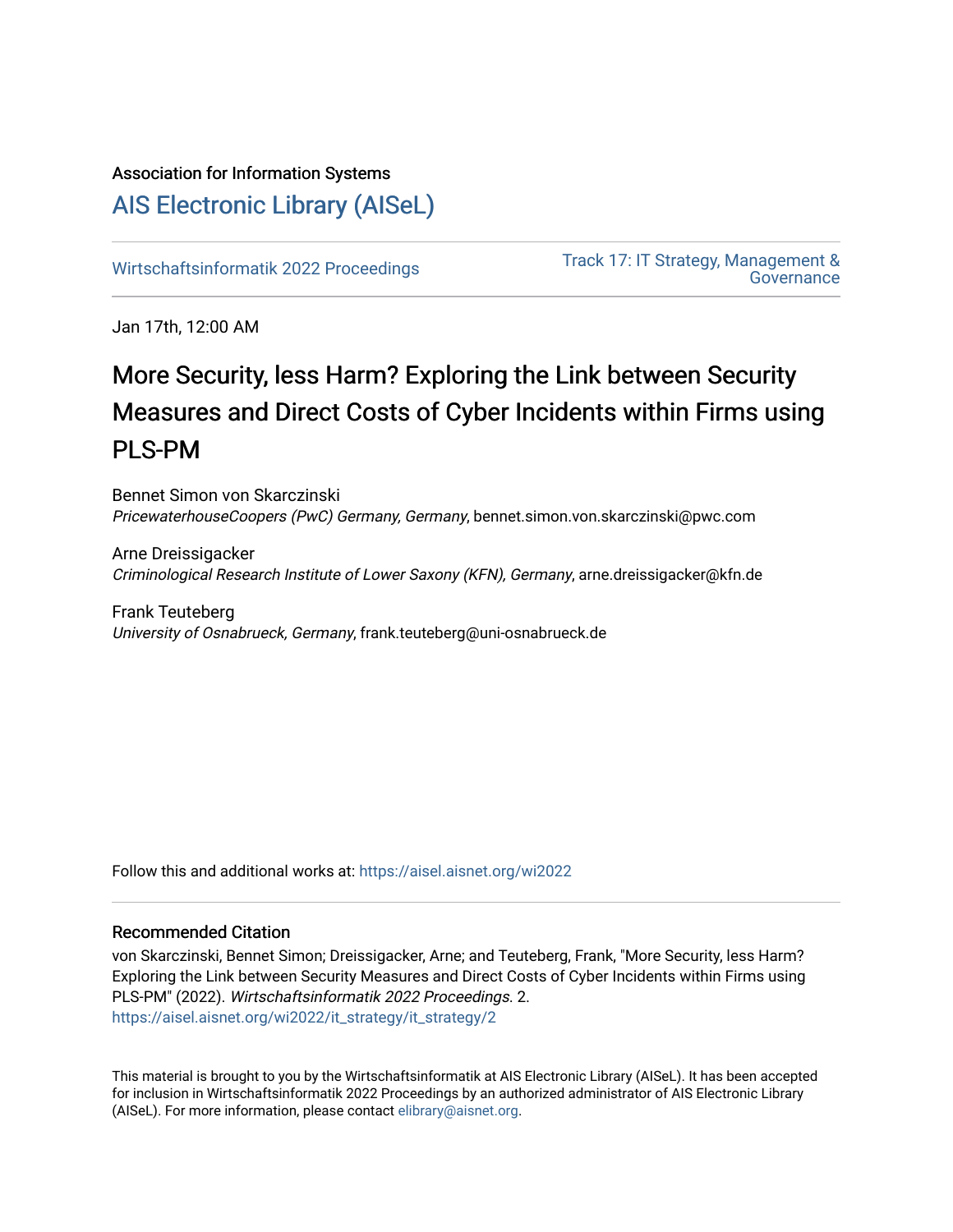## Association for Information Systems [AIS Electronic Library \(AISeL\)](https://aisel.aisnet.org/)

[Wirtschaftsinformatik 2022 Proceedings](https://aisel.aisnet.org/wi2022) Track 17: IT Strategy, Management & **Governance** 

Jan 17th, 12:00 AM

# More Security, less Harm? Exploring the Link between Security Measures and Direct Costs of Cyber Incidents within Firms using PLS-PM

Bennet Simon von Skarczinski PricewaterhouseCoopers (PwC) Germany, Germany, bennet.simon.von.skarczinski@pwc.com

Arne Dreissigacker Criminological Research Institute of Lower Saxony (KFN), Germany, arne.dreissigacker@kfn.de

Frank Teuteberg University of Osnabrueck, Germany, frank.teuteberg@uni-osnabrueck.de

Follow this and additional works at: [https://aisel.aisnet.org/wi2022](https://aisel.aisnet.org/wi2022?utm_source=aisel.aisnet.org%2Fwi2022%2Fit_strategy%2Fit_strategy%2F2&utm_medium=PDF&utm_campaign=PDFCoverPages) 

### Recommended Citation

von Skarczinski, Bennet Simon; Dreissigacker, Arne; and Teuteberg, Frank, "More Security, less Harm? Exploring the Link between Security Measures and Direct Costs of Cyber Incidents within Firms using PLS-PM" (2022). Wirtschaftsinformatik 2022 Proceedings. 2. [https://aisel.aisnet.org/wi2022/it\\_strategy/it\\_strategy/2](https://aisel.aisnet.org/wi2022/it_strategy/it_strategy/2?utm_source=aisel.aisnet.org%2Fwi2022%2Fit_strategy%2Fit_strategy%2F2&utm_medium=PDF&utm_campaign=PDFCoverPages) 

This material is brought to you by the Wirtschaftsinformatik at AIS Electronic Library (AISeL). It has been accepted for inclusion in Wirtschaftsinformatik 2022 Proceedings by an authorized administrator of AIS Electronic Library (AISeL). For more information, please contact [elibrary@aisnet.org](mailto:elibrary@aisnet.org%3E).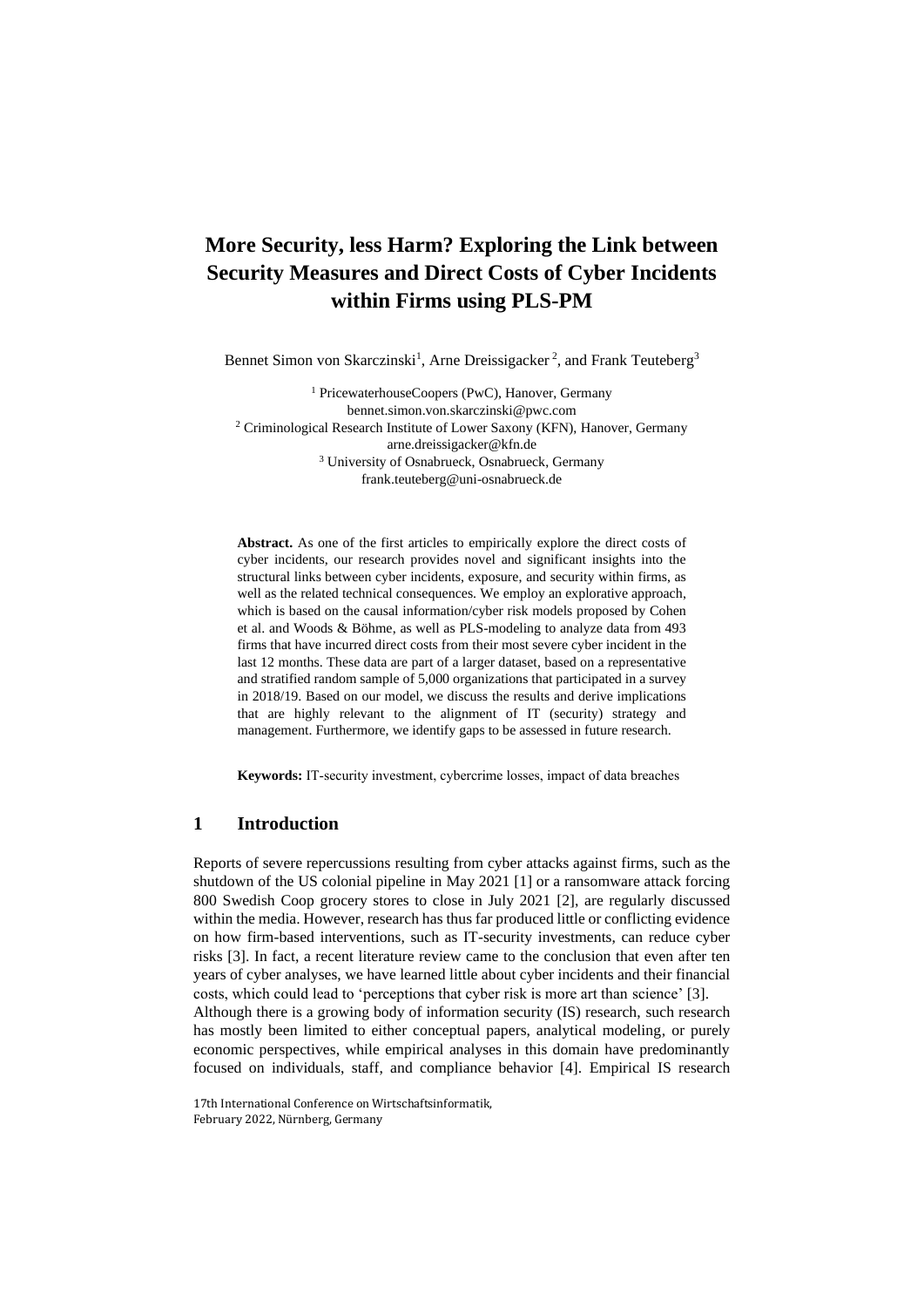## **More Security, less Harm? Exploring the Link between Security Measures and Direct Costs of Cyber Incidents within Firms using PLS-PM**

Bennet Simon von Skarczinski<sup>1</sup>, Arne Dreissigacker<sup>2</sup>, and Frank Teuteberg<sup>3</sup>

<sup>1</sup> PricewaterhouseCoopers (PwC), Hanover, Germany bennet.simon.von.skarczinski@pwc.com <sup>2</sup> Criminological Research Institute of Lower Saxony (KFN), Hanover, Germany arne.dreissigacker@kfn.de <sup>3</sup> University of Osnabrueck, Osnabrueck, Germany frank.teuteberg@uni-osnabrueck.de

**Abstract.** As one of the first articles to empirically explore the direct costs of cyber incidents, our research provides novel and significant insights into the structural links between cyber incidents, exposure, and security within firms, as well as the related technical consequences. We employ an explorative approach, which is based on the causal information/cyber risk models proposed by Cohen et al. and Woods & Böhme, as well as PLS-modeling to analyze data from 493 firms that have incurred direct costs from their most severe cyber incident in the last 12 months. These data are part of a larger dataset, based on a representative and stratified random sample of 5,000 organizations that participated in a survey in 2018/19. Based on our model, we discuss the results and derive implications that are highly relevant to the alignment of IT (security) strategy and management. Furthermore, we identify gaps to be assessed in future research.

**Keywords:** IT-security investment, cybercrime losses, impact of data breaches

#### **1 Introduction**

Reports of severe repercussions resulting from cyber attacks against firms, such as the shutdown of the US colonial pipeline in May 2021 [1] or a ransomware attack forcing 800 Swedish Coop grocery stores to close in July 2021 [2], are regularly discussed within the media. However, research has thus far produced little or conflicting evidence on how firm-based interventions, such as IT-security investments, can reduce cyber risks [3]. In fact, a recent literature review came to the conclusion that even after ten years of cyber analyses, we have learned little about cyber incidents and their financial costs, which could lead to 'perceptions that cyber risk is more art than science' [3]. Although there is a growing body of information security (IS) research, such research has mostly been limited to either conceptual papers, analytical modeling, or purely economic perspectives, while empirical analyses in this domain have predominantly focused on individuals, staff, and compliance behavior [4]. Empirical IS research

17th International Conference on Wirtschaftsinformatik, February 2022, Nürnberg, Germany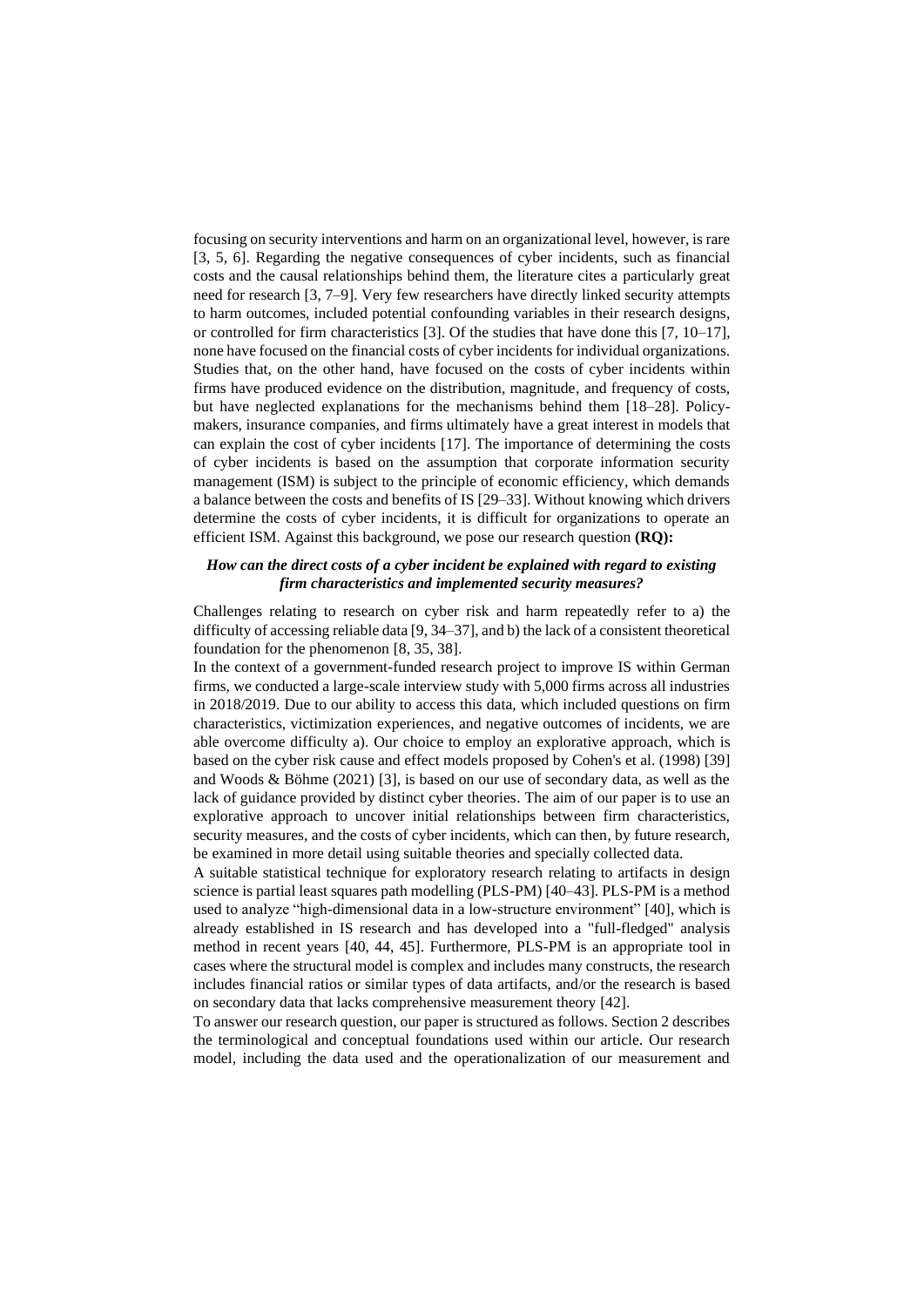focusing on security interventions and harm on an organizational level, however, is rare [3, 5, 6]. Regarding the negative consequences of cyber incidents, such as financial costs and the causal relationships behind them, the literature cites a particularly great need for research [3, 7–9]. Very few researchers have directly linked security attempts to harm outcomes, included potential confounding variables in their research designs, or controlled for firm characteristics [3]. Of the studies that have done this [7, 10–17], none have focused on the financial costs of cyber incidents for individual organizations. Studies that, on the other hand, have focused on the costs of cyber incidents within firms have produced evidence on the distribution, magnitude, and frequency of costs, but have neglected explanations for the mechanisms behind them [18–28]. Policymakers, insurance companies, and firms ultimately have a great interest in models that can explain the cost of cyber incidents [17]. The importance of determining the costs of cyber incidents is based on the assumption that corporate information security management (ISM) is subject to the principle of economic efficiency, which demands a balance between the costs and benefits of IS [29–33]. Without knowing which drivers determine the costs of cyber incidents, it is difficult for organizations to operate an efficient ISM. Against this background, we pose our research question **(RQ):**

#### *How can the direct costs of a cyber incident be explained with regard to existing firm characteristics and implemented security measures?*

Challenges relating to research on cyber risk and harm repeatedly refer to a) the difficulty of accessing reliable data [9, 34–37], and b) the lack of a consistent theoretical foundation for the phenomenon [8, 35, 38].

In the context of a government-funded research project to improve IS within German firms, we conducted a large-scale interview study with 5,000 firms across all industries in 2018/2019. Due to our ability to access this data, which included questions on firm characteristics, victimization experiences, and negative outcomes of incidents, we are able overcome difficulty a). Our choice to employ an explorative approach, which is based on the cyber risk cause and effect models proposed by Cohen's et al. (1998) [39] and Woods & Böhme (2021) [3], is based on our use of secondary data, as well as the lack of guidance provided by distinct cyber theories. The aim of our paper is to use an explorative approach to uncover initial relationships between firm characteristics, security measures, and the costs of cyber incidents, which can then, by future research, be examined in more detail using suitable theories and specially collected data.

A suitable statistical technique for exploratory research relating to artifacts in design science is partial least squares path modelling (PLS-PM) [40–43]. PLS-PM is a method used to analyze "high-dimensional data in a low-structure environment" [40], which is already established in IS research and has developed into a "full-fledged" analysis method in recent years [40, 44, 45]. Furthermore, PLS-PM is an appropriate tool in cases where the structural model is complex and includes many constructs, the research includes financial ratios or similar types of data artifacts, and/or the research is based on secondary data that lacks comprehensive measurement theory [42].

To answer our research question, our paper is structured as follows. Section 2 describes the terminological and conceptual foundations used within our article. Our research model, including the data used and the operationalization of our measurement and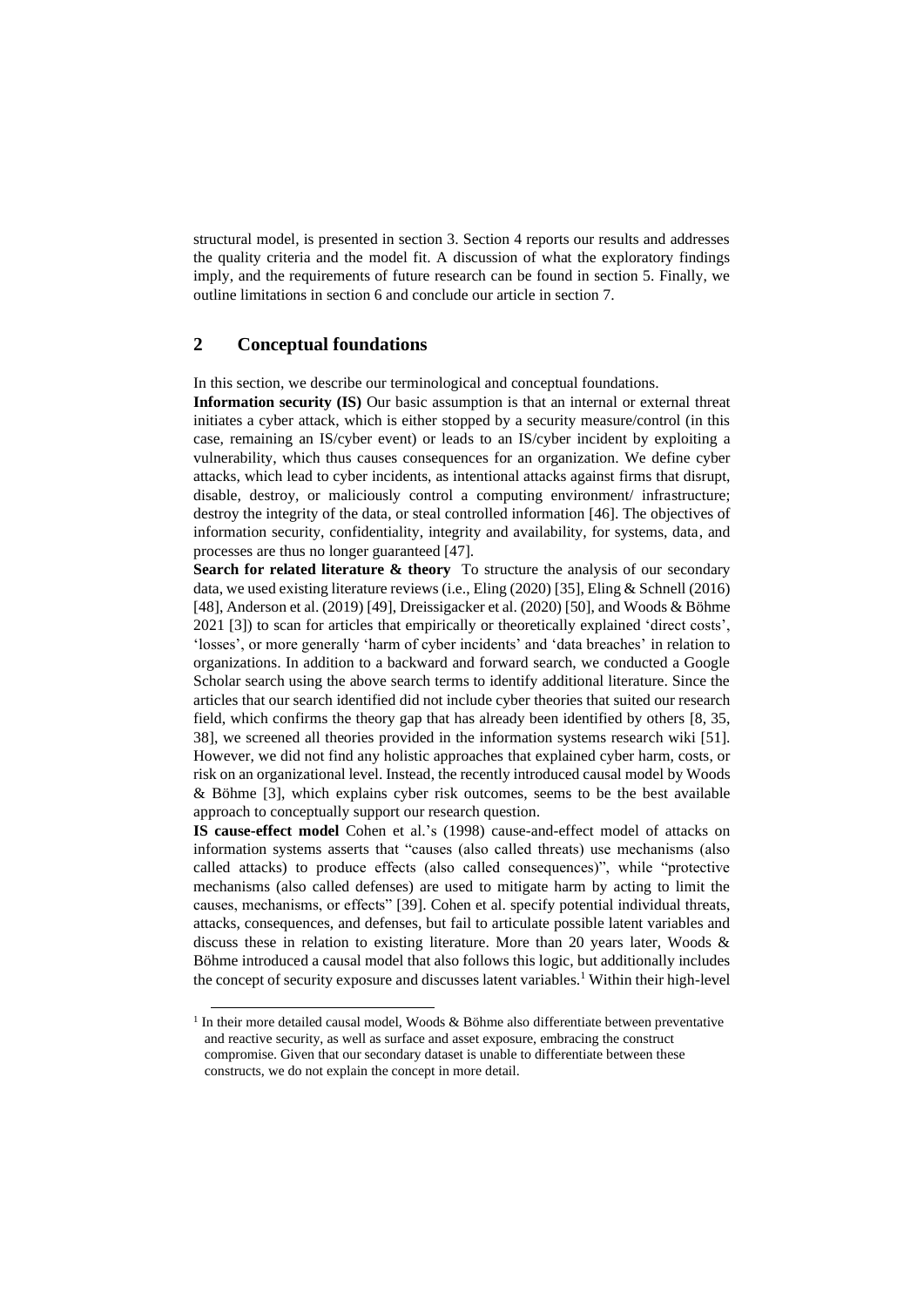structural model, is presented in section 3. Section 4 reports our results and addresses the quality criteria and the model fit. A discussion of what the exploratory findings imply, and the requirements of future research can be found in section 5. Finally, we outline limitations in section 6 and conclude our article in section 7.

#### **2 Conceptual foundations**

In this section, we describe our terminological and conceptual foundations.

**Information security (IS)** Our basic assumption is that an internal or external threat initiates a cyber attack, which is either stopped by a security measure/control (in this case, remaining an IS/cyber event) or leads to an IS/cyber incident by exploiting a vulnerability, which thus causes consequences for an organization. We define cyber attacks, which lead to cyber incidents, as intentional attacks against firms that disrupt, disable, destroy, or maliciously control a computing environment/ infrastructure; destroy the integrity of the data, or steal controlled information [46]. The objectives of information security, confidentiality, integrity and availability, for systems, data, and processes are thus no longer guaranteed [47].

**Search for related literature & theory** To structure the analysis of our secondary data, we used existing literature reviews (i.e., Eling (2020) [35], Eling & Schnell (2016) [48], Anderson et al. (2019) [49], Dreissigacker et al. (2020) [50], and Woods & Böhme 2021 [3]) to scan for articles that empirically or theoretically explained 'direct costs', 'losses', or more generally 'harm of cyber incidents' and 'data breaches' in relation to organizations. In addition to a backward and forward search, we conducted a Google Scholar search using the above search terms to identify additional literature. Since the articles that our search identified did not include cyber theories that suited our research field, which confirms the theory gap that has already been identified by others [8, 35, 38], we screened all theories provided in the information systems research wiki [51]. However, we did not find any holistic approaches that explained cyber harm, costs, or risk on an organizational level. Instead, the recently introduced causal model by Woods & Böhme [3], which explains cyber risk outcomes, seems to be the best available approach to conceptually support our research question.

**IS cause-effect model** Cohen et al.'s (1998) cause-and-effect model of attacks on information systems asserts that "causes (also called threats) use mechanisms (also called attacks) to produce effects (also called consequences)", while "protective mechanisms (also called defenses) are used to mitigate harm by acting to limit the causes, mechanisms, or effects" [39]. Cohen et al. specify potential individual threats, attacks, consequences, and defenses, but fail to articulate possible latent variables and discuss these in relation to existing literature. More than 20 years later, Woods & Böhme introduced a causal model that also follows this logic, but additionally includes the concept of security exposure and discusses latent variables.<sup>1</sup> Within their high-level

<sup>&</sup>lt;sup>1</sup> In their more detailed causal model, Woods & Böhme also differentiate between preventative and reactive security, as well as surface and asset exposure, embracing the construct compromise. Given that our secondary dataset is unable to differentiate between these constructs, we do not explain the concept in more detail.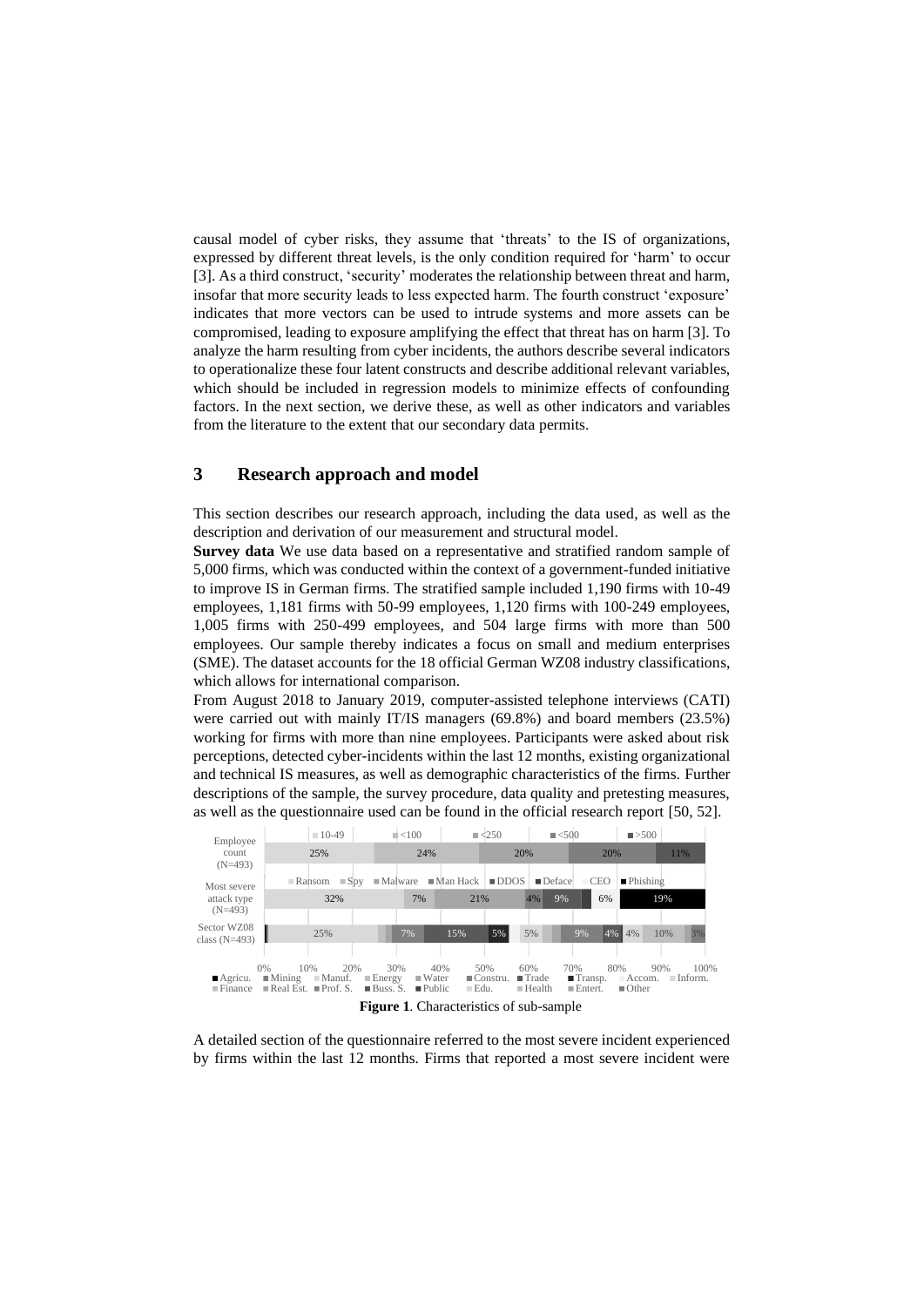causal model of cyber risks, they assume that 'threats' to the IS of organizations, expressed by different threat levels, is the only condition required for 'harm' to occur [3]. As a third construct, 'security' moderates the relationship between threat and harm, insofar that more security leads to less expected harm. The fourth construct 'exposure' indicates that more vectors can be used to intrude systems and more assets can be compromised, leading to exposure amplifying the effect that threat has on harm [3]. To analyze the harm resulting from cyber incidents, the authors describe several indicators to operationalize these four latent constructs and describe additional relevant variables, which should be included in regression models to minimize effects of confounding factors. In the next section, we derive these, as well as other indicators and variables from the literature to the extent that our secondary data permits.

#### **3 Research approach and model**

This section describes our research approach, including the data used, as well as the description and derivation of our measurement and structural model.

**Survey data** We use data based on a representative and stratified random sample of 5,000 firms, which was conducted within the context of a government-funded initiative to improve IS in German firms. The stratified sample included 1,190 firms with 10-49 employees, 1,181 firms with 50-99 employees, 1,120 firms with 100-249 employees, 1,005 firms with 250-499 employees, and 504 large firms with more than 500 employees. Our sample thereby indicates a focus on small and medium enterprises (SME). The dataset accounts for the 18 official German WZ08 industry classifications, which allows for international comparison.

From August 2018 to January 2019, computer-assisted telephone interviews (CATI) were carried out with mainly IT/IS managers (69.8%) and board members (23.5%) working for firms with more than nine employees. Participants were asked about risk perceptions, detected cyber-incidents within the last 12 months, existing organizational and technical IS measures, as well as demographic characteristics of the firms. Further descriptions of the sample, the survey procedure, data quality and pretesting measures, as well as the questionnaire used can be found in the official research report [50, 52].



A detailed section of the questionnaire referred to the most severe incident experienced by firms within the last 12 months. Firms that reported a most severe incident were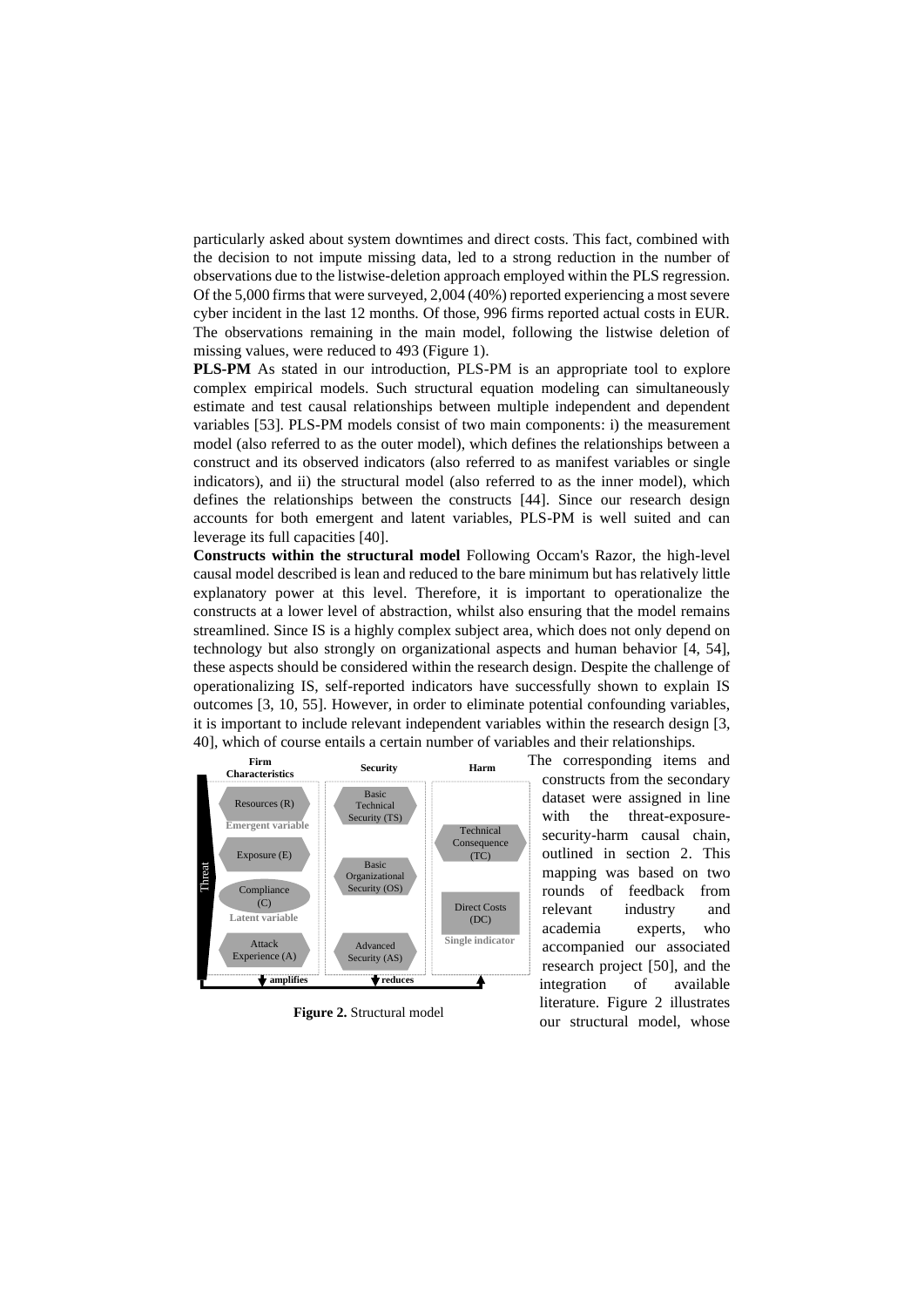particularly asked about system downtimes and direct costs. This fact, combined with the decision to not impute missing data, led to a strong reduction in the number of observations due to the listwise-deletion approach employed within the PLS regression. Of the 5,000 firms that were surveyed, 2,004 (40%) reported experiencing a most severe cyber incident in the last 12 months. Of those, 996 firms reported actual costs in EUR. The observations remaining in the main model, following the listwise deletion of missing values, were reduced to 493 (Figure 1).

**PLS-PM** As stated in our introduction, PLS-PM is an appropriate tool to explore complex empirical models. Such structural equation modeling can simultaneously estimate and test causal relationships between multiple independent and dependent variables [53]. PLS-PM models consist of two main components: i) the measurement model (also referred to as the outer model), which defines the relationships between a construct and its observed indicators (also referred to as manifest variables or single indicators), and ii) the structural model (also referred to as the inner model), which defines the relationships between the constructs [44]. Since our research design accounts for both emergent and latent variables, PLS-PM is well suited and can leverage its full capacities [40].

**Constructs within the structural model** Following Occam's Razor, the high-level causal model described is lean and reduced to the bare minimum but has relatively little explanatory power at this level. Therefore, it is important to operationalize the constructs at a lower level of abstraction, whilst also ensuring that the model remains streamlined. Since IS is a highly complex subject area, which does not only depend on technology but also strongly on organizational aspects and human behavior [4, 54], these aspects should be considered within the research design. Despite the challenge of operationalizing IS, self-reported indicators have successfully shown to explain IS outcomes [3, 10, 55]. However, in order to eliminate potential confounding variables, it is important to include relevant independent variables within the research design [3, 40], which of course entails a certain number of variables and their relationships.



**Figure 2.** Structural model

The corresponding items and constructs from the secondary dataset were assigned in line with the threat-exposuresecurity-harm causal chain, outlined in section 2. This mapping was based on two rounds of feedback from relevant industry and academia experts, who accompanied our associated research project [50], and the integration of available literature. Figure 2 illustrates our structural model, whose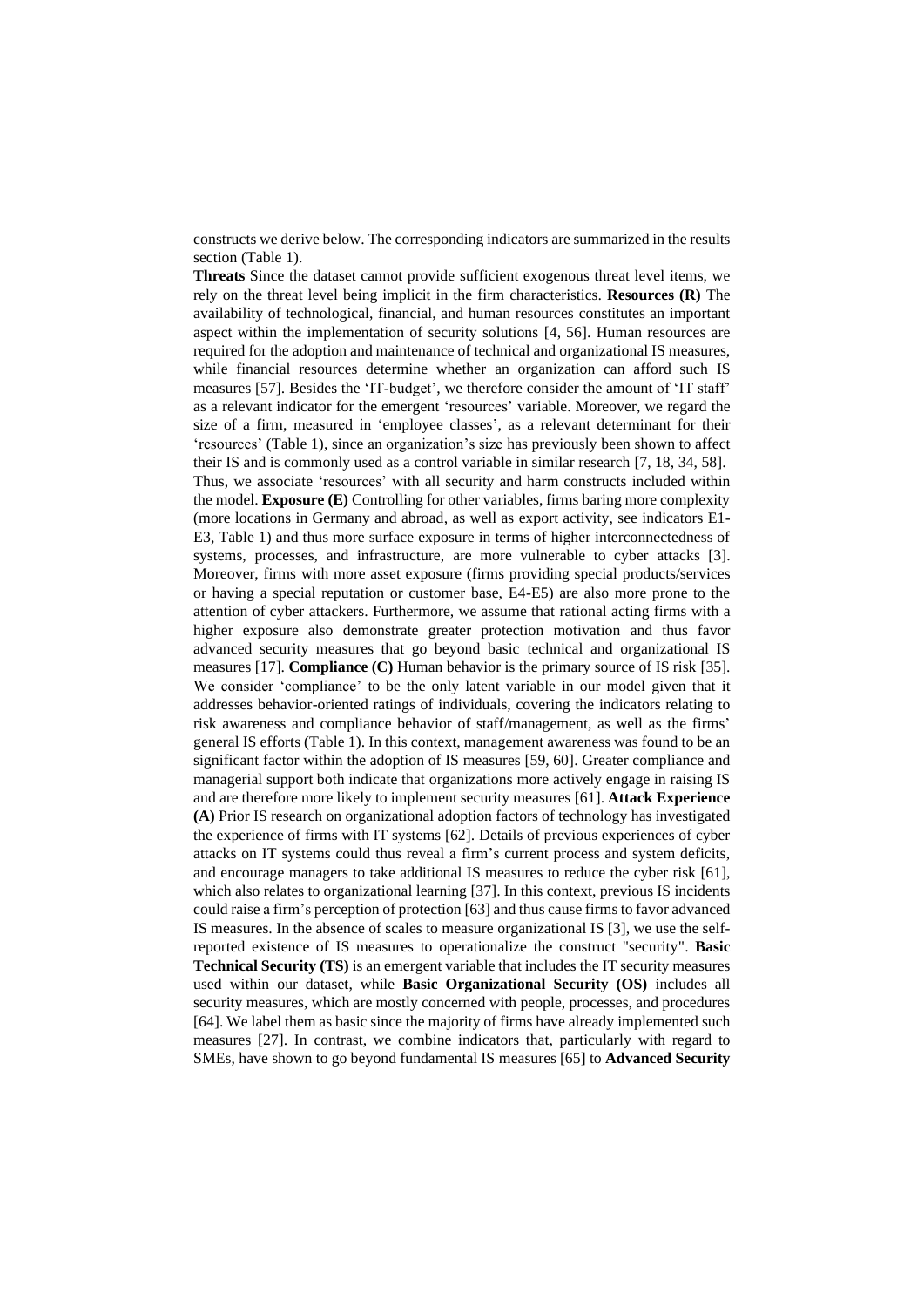constructs we derive below. The corresponding indicators are summarized in the results section (Table 1).

**Threats** Since the dataset cannot provide sufficient exogenous threat level items, we rely on the threat level being implicit in the firm characteristics. **Resources (R)** The availability of technological, financial, and human resources constitutes an important aspect within the implementation of security solutions [4, 56]. Human resources are required for the adoption and maintenance of technical and organizational IS measures, while financial resources determine whether an organization can afford such IS measures [57]. Besides the 'IT-budget', we therefore consider the amount of 'IT staff' as a relevant indicator for the emergent 'resources' variable. Moreover, we regard the size of a firm, measured in 'employee classes', as a relevant determinant for their 'resources' (Table 1), since an organization's size has previously been shown to affect their IS and is commonly used as a control variable in similar research [7, 18, 34, 58]. Thus, we associate 'resources' with all security and harm constructs included within the model. **Exposure (E)** Controlling for other variables, firms baring more complexity (more locations in Germany and abroad, as well as export activity, see indicators E1- E3, Table 1) and thus more surface exposure in terms of higher interconnectedness of systems, processes, and infrastructure, are more vulnerable to cyber attacks [3]. Moreover, firms with more asset exposure (firms providing special products/services or having a special reputation or customer base, E4-E5) are also more prone to the attention of cyber attackers. Furthermore, we assume that rational acting firms with a higher exposure also demonstrate greater protection motivation and thus favor advanced security measures that go beyond basic technical and organizational IS measures [17]. **Compliance (C)** Human behavior is the primary source of IS risk [35]. We consider 'compliance' to be the only latent variable in our model given that it addresses behavior-oriented ratings of individuals, covering the indicators relating to risk awareness and compliance behavior of staff/management, as well as the firms' general IS efforts (Table 1). In this context, management awareness was found to be an significant factor within the adoption of IS measures [59, 60]. Greater compliance and managerial support both indicate that organizations more actively engage in raising IS and are therefore more likely to implement security measures [61]. **Attack Experience (A)** Prior IS research on organizational adoption factors of technology has investigated the experience of firms with IT systems [62]. Details of previous experiences of cyber attacks on IT systems could thus reveal a firm's current process and system deficits, and encourage managers to take additional IS measures to reduce the cyber risk [61], which also relates to organizational learning [37]. In this context, previous IS incidents could raise a firm's perception of protection [63] and thus cause firmsto favor advanced IS measures. In the absence of scales to measure organizational IS [3], we use the selfreported existence of IS measures to operationalize the construct "security". **Basic Technical Security (TS)** is an emergent variable that includes the IT security measures used within our dataset, while **Basic Organizational Security (OS)** includes all security measures, which are mostly concerned with people, processes, and procedures [64]. We label them as basic since the majority of firms have already implemented such measures [27]. In contrast, we combine indicators that, particularly with regard to SMEs, have shown to go beyond fundamental IS measures [65] to **Advanced Security**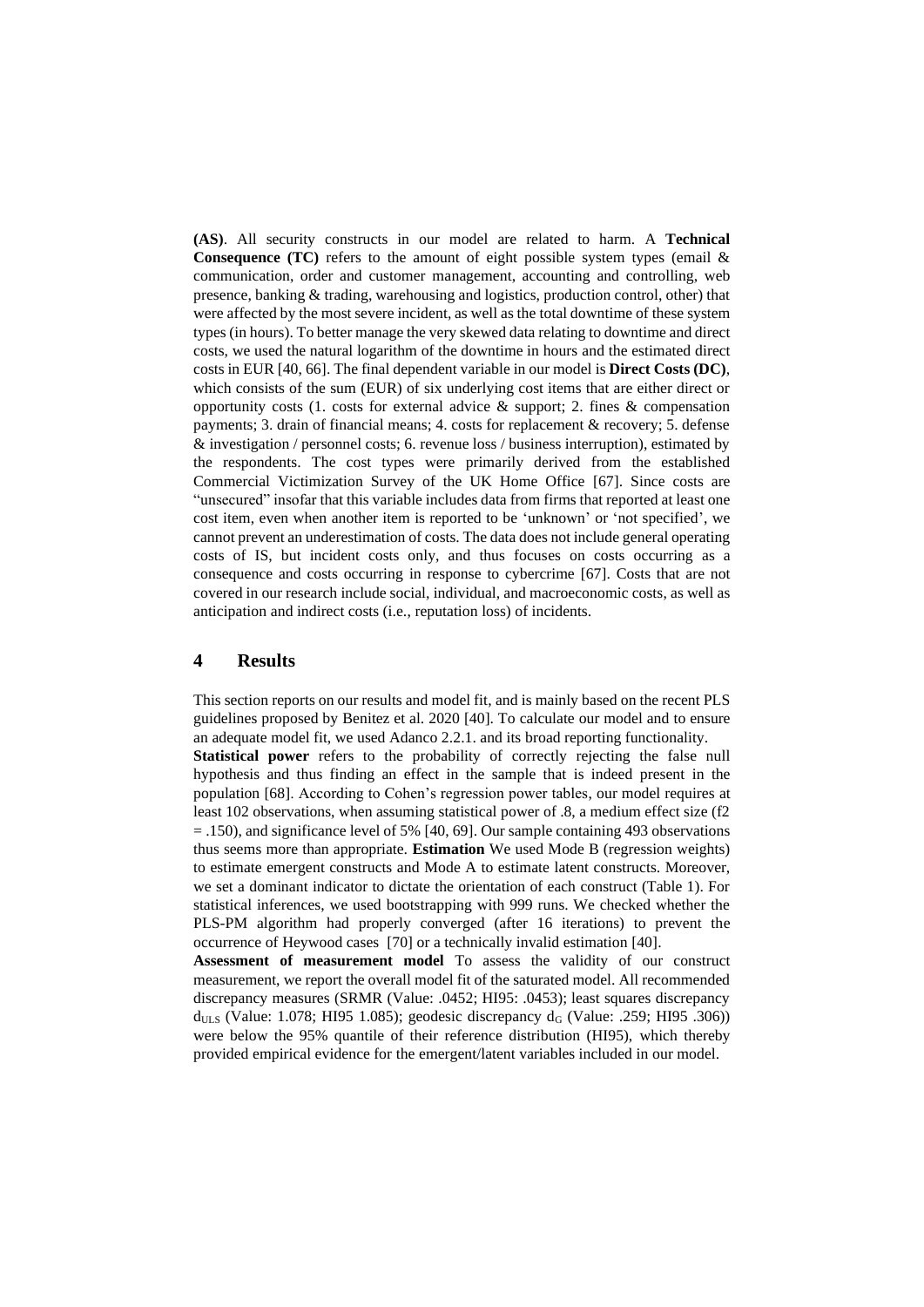**(AS)**. All security constructs in our model are related to harm. A **Technical Consequence (TC)** refers to the amount of eight possible system types (email & communication, order and customer management, accounting and controlling, web presence, banking & trading, warehousing and logistics, production control, other) that were affected by the most severe incident, as well as the total downtime of these system types (in hours). To better manage the very skewed data relating to downtime and direct costs, we used the natural logarithm of the downtime in hours and the estimated direct costs in EUR [40, 66]. The final dependent variable in our model is **Direct Costs (DC)**, which consists of the sum (EUR) of six underlying cost items that are either direct or opportunity costs (1. costs for external advice  $\&$  support; 2. fines  $\&$  compensation payments; 3. drain of financial means; 4. costs for replacement & recovery; 5. defense & investigation / personnel costs; 6. revenue loss / business interruption), estimated by the respondents. The cost types were primarily derived from the established Commercial Victimization Survey of the UK Home Office [67]. Since costs are "unsecured" insofar that this variable includes data from firms that reported at least one cost item, even when another item is reported to be 'unknown' or 'not specified', we cannot prevent an underestimation of costs. The data does not include general operating costs of IS, but incident costs only, and thus focuses on costs occurring as a consequence and costs occurring in response to cybercrime [67]. Costs that are not covered in our research include social, individual, and macroeconomic costs, as well as anticipation and indirect costs (i.e., reputation loss) of incidents.

#### **4 Results**

This section reports on our results and model fit, and is mainly based on the recent PLS guidelines proposed by Benitez et al. 2020 [40]. To calculate our model and to ensure an adequate model fit, we used Adanco 2.2.1. and its broad reporting functionality. **Statistical power** refers to the probability of correctly rejecting the false null hypothesis and thus finding an effect in the sample that is indeed present in the population [68]. According to Cohen's regression power tables, our model requires at least 102 observations, when assuming statistical power of .8, a medium effect size (f2 = .150), and significance level of 5% [40, 69]. Our sample containing 493 observations thus seems more than appropriate. **Estimation** We used Mode B (regression weights)

to estimate emergent constructs and Mode A to estimate latent constructs. Moreover, we set a dominant indicator to dictate the orientation of each construct (Table 1). For statistical inferences, we used bootstrapping with 999 runs. We checked whether the PLS-PM algorithm had properly converged (after 16 iterations) to prevent the occurrence of Heywood cases [70] or a technically invalid estimation [40].

**Assessment of measurement model** To assess the validity of our construct measurement, we report the overall model fit of the saturated model. All recommended discrepancy measures (SRMR (Value: .0452; HI95: .0453); least squares discrepancy  $d_{ULS}$  (Value: 1.078; HI95 1.085); geodesic discrepancy  $d_G$  (Value: .259; HI95 .306)) were below the 95% quantile of their reference distribution (HI95), which thereby provided empirical evidence for the emergent/latent variables included in our model.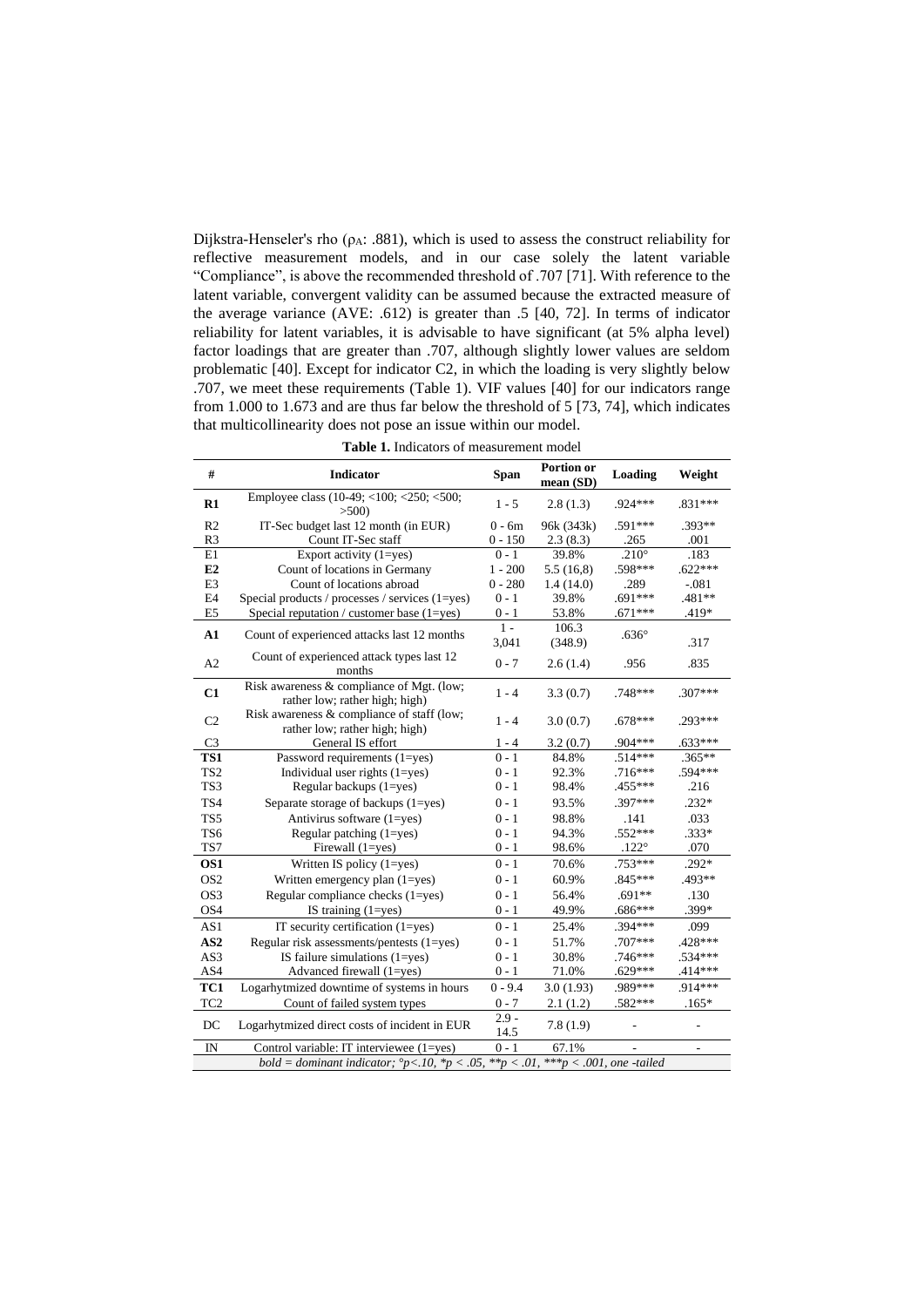Dijkstra-Henseler's rho ( $\rho_A$ : .881), which is used to assess the construct reliability for reflective measurement models, and in our case solely the latent variable "Compliance", is above the recommended threshold of .707 [71]. With reference to the latent variable, convergent validity can be assumed because the extracted measure of the average variance (AVE: .612) is greater than .5 [40, 72]. In terms of indicator reliability for latent variables, it is advisable to have significant (at 5% alpha level) factor loadings that are greater than .707, although slightly lower values are seldom problematic [40]. Except for indicator C2, in which the loading is very slightly below .707, we meet these requirements (Table 1). VIF values [40] for our indicators range from 1.000 to 1.673 and are thus far below the threshold of 5 [73, 74], which indicates that multicollinearity does not pose an issue within our model.

| #               | <b>Indicator</b>                                                                                                        | <b>Span</b>     | Portion or<br>mean (SD) | Loading         | Weight         |
|-----------------|-------------------------------------------------------------------------------------------------------------------------|-----------------|-------------------------|-----------------|----------------|
| $\mathbf{R}1$   | Employee class (10-49; <100; <250; <500;<br>>500                                                                        | $1 - 5$         | 2.8(1.3)                | .924 ***        | $.831***$      |
| R2              | IT-Sec budget last 12 month (in EUR)                                                                                    | $0 - 6m$        | 96k (343k)              | .591***         | $.393**$       |
| R3              | Count IT-Sec staff                                                                                                      | $0 - 150$       | 2.3(8.3)                | .265            | .001           |
| E1              | Export activity $(1 = yes)$                                                                                             | $0 - 1$         | 39.8%                   | .210 $^{\circ}$ | .183           |
| E2              | Count of locations in Germany                                                                                           | $1 - 200$       | 5.5(16,8)               | .598***         | $.622***$      |
| E <sub>3</sub>  | Count of locations abroad                                                                                               | $0 - 280$       | 1.4(14.0)               | .289            | $-.081$        |
| E4              | Special products / processes / services (1=yes)                                                                         | $0 - 1$         | 39.8%                   | $.691***$       | .481**         |
| E <sub>5</sub>  | Special reputation / customer base $(1 = yes)$                                                                          | $0 - 1$         | 53.8%                   | $.671***$       | .419*          |
| ${\bf A1}$      | Count of experienced attacks last 12 months                                                                             | $1 -$<br>3,041  | 106.3<br>(348.9)        | $.636^\circ$    | .317           |
| A2              | Count of experienced attack types last 12<br>months                                                                     | $0 - 7$         | 2.6(1.4)                | .956            | .835           |
| C1              | Risk awareness & compliance of Mgt. (low;<br>rather low; rather high; high)                                             | $1 - 4$         | 3.3(0.7)                | .748***         | $.307***$      |
| C2              | Risk awareness & compliance of staff (low;<br>rather low; rather high; high)                                            | $1 - 4$         | 3.0(0.7)                | $.678***$       | .293***        |
| C <sub>3</sub>  | General IS effort                                                                                                       | $1 - 4$         | 3.2(0.7)                | $.904***$       | $.633***$      |
| TS1             | Password requirements $(1 = yes)$                                                                                       | $0 - 1$         | 84.8%                   | $.514***$       | $.365**$       |
| TS <sub>2</sub> | Individual user rights $(1 = yes)$                                                                                      | $0 - 1$         | 92.3%                   | $.716***$       | .594 ***       |
| TS3             | Regular backups $(1 = yes)$                                                                                             | $0 - 1$         | 98.4%                   | .455***         | .216           |
| TS4             | Separate storage of backups $(1 = yes)$                                                                                 | $0 - 1$         | 93.5%                   | $.397***$       | $.232*$        |
| TS5             | Antivirus software $(1 = yes)$                                                                                          | $0 - 1$         | 98.8%                   | .141            | .033           |
| TS6             | Regular patching $(1 = yes)$                                                                                            | $0 - 1$         | 94.3%                   | .552***         | .333*          |
| TS7             | Firewall (1=yes)                                                                                                        | $0 - 1$         | 98.6%                   | $.122^{\circ}$  | .070           |
| OS1             | Written IS policy (1=yes)                                                                                               | $0 - 1$         | 70.6%                   | $.753***$       | $.292*$        |
| OS <sub>2</sub> | Written emergency plan $(1 = yes)$                                                                                      | $0 - 1$         | 60.9%                   | $.845***$       | .493**         |
| OS3             | Regular compliance checks $(1 = yes)$                                                                                   | $0 - 1$         | 56.4%                   | $.691**$        | .130           |
| OS4             | IS training $(1 = yes)$                                                                                                 | $0 - 1$         | 49.9%                   | $.686***$       | .399*          |
| AS1             | IT security certification $(1 = yes)$                                                                                   | $0 - 1$         | 25.4%                   | .394 ***        | .099           |
| AS <sub>2</sub> | Regular risk assessments/pentests $(1 = yes)$                                                                           | $0 - 1$         | 51.7%                   | $.707***$       | $.428***$      |
| AS3             | IS failure simulations $(1 = yes)$                                                                                      | $0 - 1$         | 30.8%                   | .746***         | .534***        |
| AS4             | Advanced firewall (1=yes)                                                                                               | $0 - 1$         | 71.0%                   | $.629***$       | $.414***$      |
| TC1             | Logarhytmized downtime of systems in hours                                                                              | $0 - 9.4$       | 3.0(1.93)               | .989***         | .914***        |
| TC <sub>2</sub> | Count of failed system types                                                                                            | $0 - 7$         | 2.1(1.2)                | .582***         | $.165*$        |
| DC              | Logarhytmized direct costs of incident in EUR                                                                           | $2.9 -$<br>14.5 | 7.8(1.9)                |                 |                |
| $\rm{IN}$       | Control variable: IT interviewee (1=yes)                                                                                | $0 - 1$         | 67.1%                   |                 | $\blacksquare$ |
|                 | bold = dominant indicator; $^{\circ}p<.10$ , $^{\ast}p<.05$ , $^{\ast\ast}p<.01$ , $^{\ast\ast\ast}p<.001$ , one-tailed |                 |                         |                 |                |

**Table 1.** Indicators of measurement model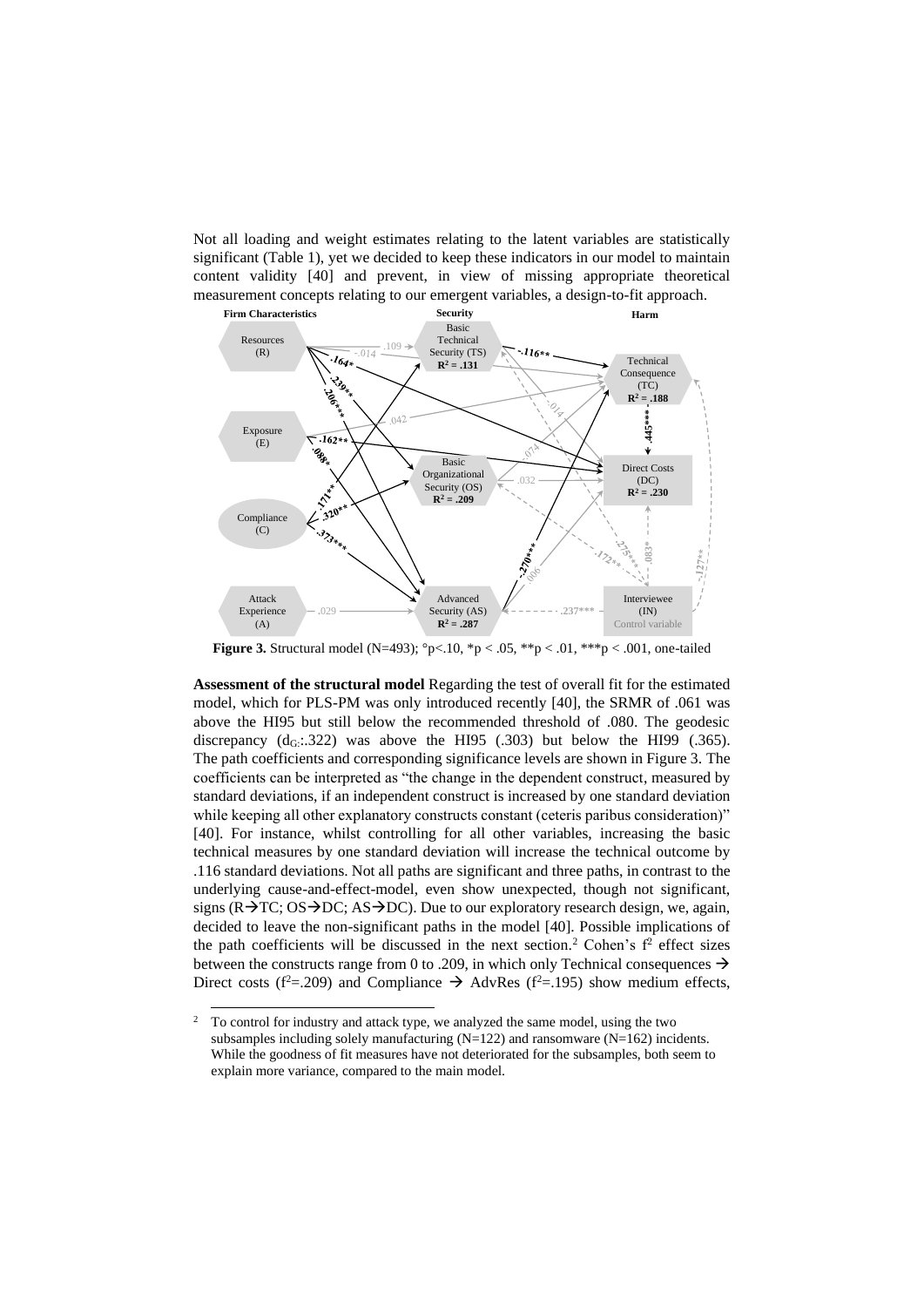Not all loading and weight estimates relating to the latent variables are statistically significant (Table 1), yet we decided to keep these indicators in our model to maintain content validity [40] and prevent, in view of missing appropriate theoretical measurement concepts relating to our emergent variables, a design-to-fit approach.



**Figure 3.** Structural model (N=493); °p<.10, \*p < .05, \*\*p < .01, \*\*\*p < .001, one-tailed

**Assessment of the structural model** Regarding the test of overall fit for the estimated model, which for PLS-PM was only introduced recently [40], the SRMR of .061 was above the HI95 but still below the recommended threshold of .080. The geodesic discrepancy  $(d_G: 322)$  was above the HI95 (.303) but below the HI99 (.365). The path coefficients and corresponding significance levels are shown in Figure 3. The coefficients can be interpreted as "the change in the dependent construct, measured by standard deviations, if an independent construct is increased by one standard deviation while keeping all other explanatory constructs constant (ceteris paribus consideration)" [40]. For instance, whilst controlling for all other variables, increasing the basic technical measures by one standard deviation will increase the technical outcome by .116 standard deviations. Not all paths are significant and three paths, in contrast to the underlying cause-and-effect-model, even show unexpected, though not significant, signs (R→TC; OS→DC; AS→DC). Due to our exploratory research design, we, again, decided to leave the non-significant paths in the model [40]. Possible implications of the path coefficients will be discussed in the next section.<sup>2</sup> Cohen's  $f<sup>2</sup>$  effect sizes between the constructs range from 0 to .209, in which only Technical consequences → Direct costs ( $f^2$ =.209) and Compliance  $\rightarrow$  AdvRes ( $f^2$ =.195) show medium effects,

<sup>&</sup>lt;sup>2</sup> To control for industry and attack type, we analyzed the same model, using the two subsamples including solely manufacturing (N=122) and ransomware (N=162) incidents. While the goodness of fit measures have not deteriorated for the subsamples, both seem to explain more variance, compared to the main model.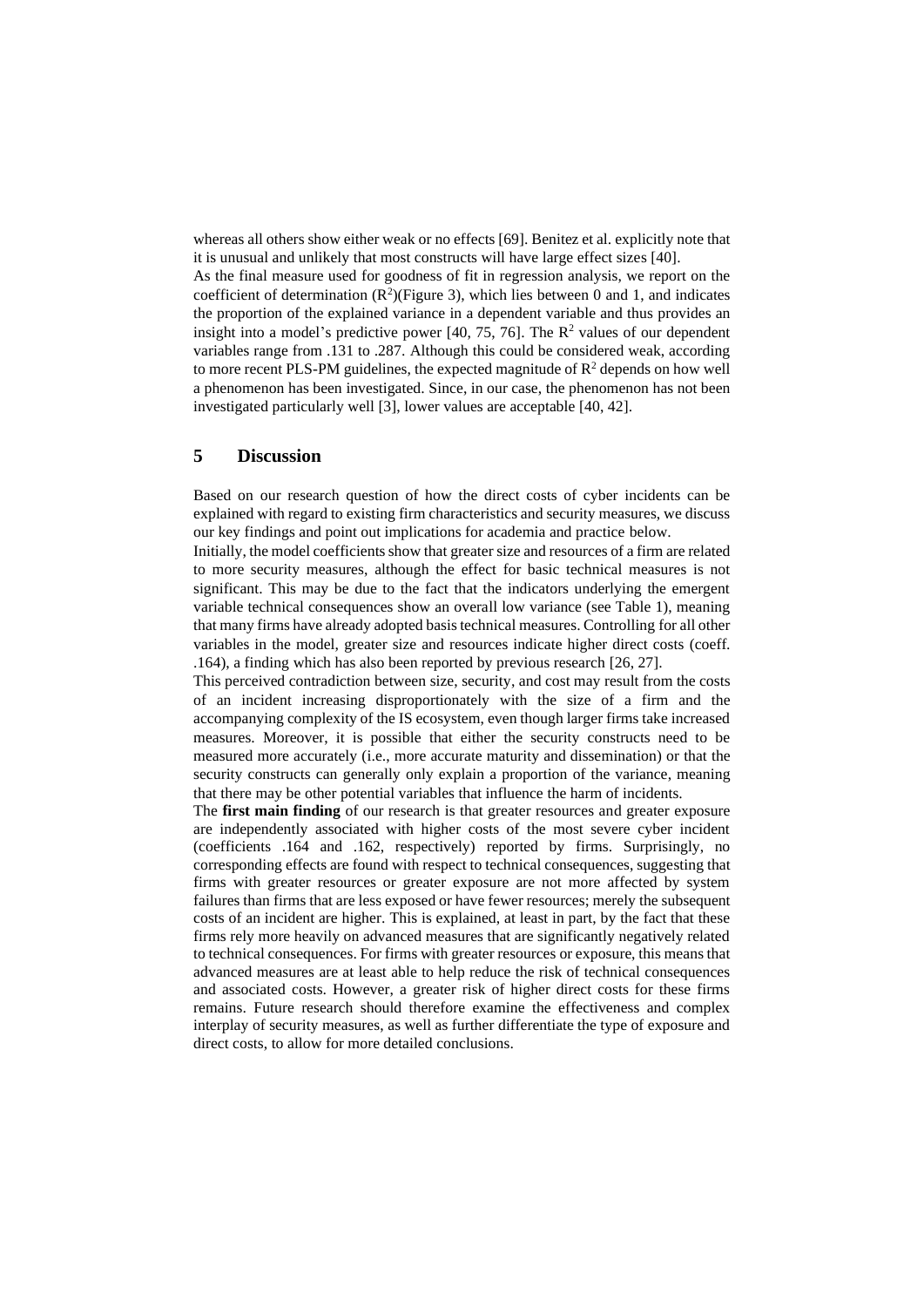whereas all others show either weak or no effects [69]. Benitez et al. explicitly note that it is unusual and unlikely that most constructs will have large effect sizes [40].

As the final measure used for goodness of fit in regression analysis, we report on the coefficient of determination  $(R^2)$ (Figure 3), which lies between 0 and 1, and indicates the proportion of the explained variance in a dependent variable and thus provides an insight into a model's predictive power  $[40, 75, 76]$ . The  $\mathbb{R}^2$  values of our dependent variables range from .131 to .287. Although this could be considered weak, according to more recent PLS-PM guidelines, the expected magnitude of  $\mathbb{R}^2$  depends on how well a phenomenon has been investigated. Since, in our case, the phenomenon has not been investigated particularly well [3], lower values are acceptable [40, 42].

### **5 Discussion**

Based on our research question of how the direct costs of cyber incidents can be explained with regard to existing firm characteristics and security measures, we discuss our key findings and point out implications for academia and practice below.

Initially, the model coefficients show that greater size and resources of a firm are related to more security measures, although the effect for basic technical measures is not significant. This may be due to the fact that the indicators underlying the emergent variable technical consequences show an overall low variance (see Table 1), meaning that many firms have already adopted basis technical measures. Controlling for all other variables in the model, greater size and resources indicate higher direct costs (coeff. .164), a finding which has also been reported by previous research [26, 27].

This perceived contradiction between size, security, and cost may result from the costs of an incident increasing disproportionately with the size of a firm and the accompanying complexity of the IS ecosystem, even though larger firms take increased measures. Moreover, it is possible that either the security constructs need to be measured more accurately (i.e., more accurate maturity and dissemination) or that the security constructs can generally only explain a proportion of the variance, meaning that there may be other potential variables that influence the harm of incidents.

The **first main finding** of our research is that greater resources and greater exposure are independently associated with higher costs of the most severe cyber incident (coefficients .164 and .162, respectively) reported by firms. Surprisingly, no corresponding effects are found with respect to technical consequences, suggesting that firms with greater resources or greater exposure are not more affected by system failures than firms that are less exposed or have fewer resources; merely the subsequent costs of an incident are higher. This is explained, at least in part, by the fact that these firms rely more heavily on advanced measures that are significantly negatively related to technical consequences. For firms with greater resources or exposure, this means that advanced measures are at least able to help reduce the risk of technical consequences and associated costs. However, a greater risk of higher direct costs for these firms remains. Future research should therefore examine the effectiveness and complex interplay of security measures, as well as further differentiate the type of exposure and direct costs, to allow for more detailed conclusions.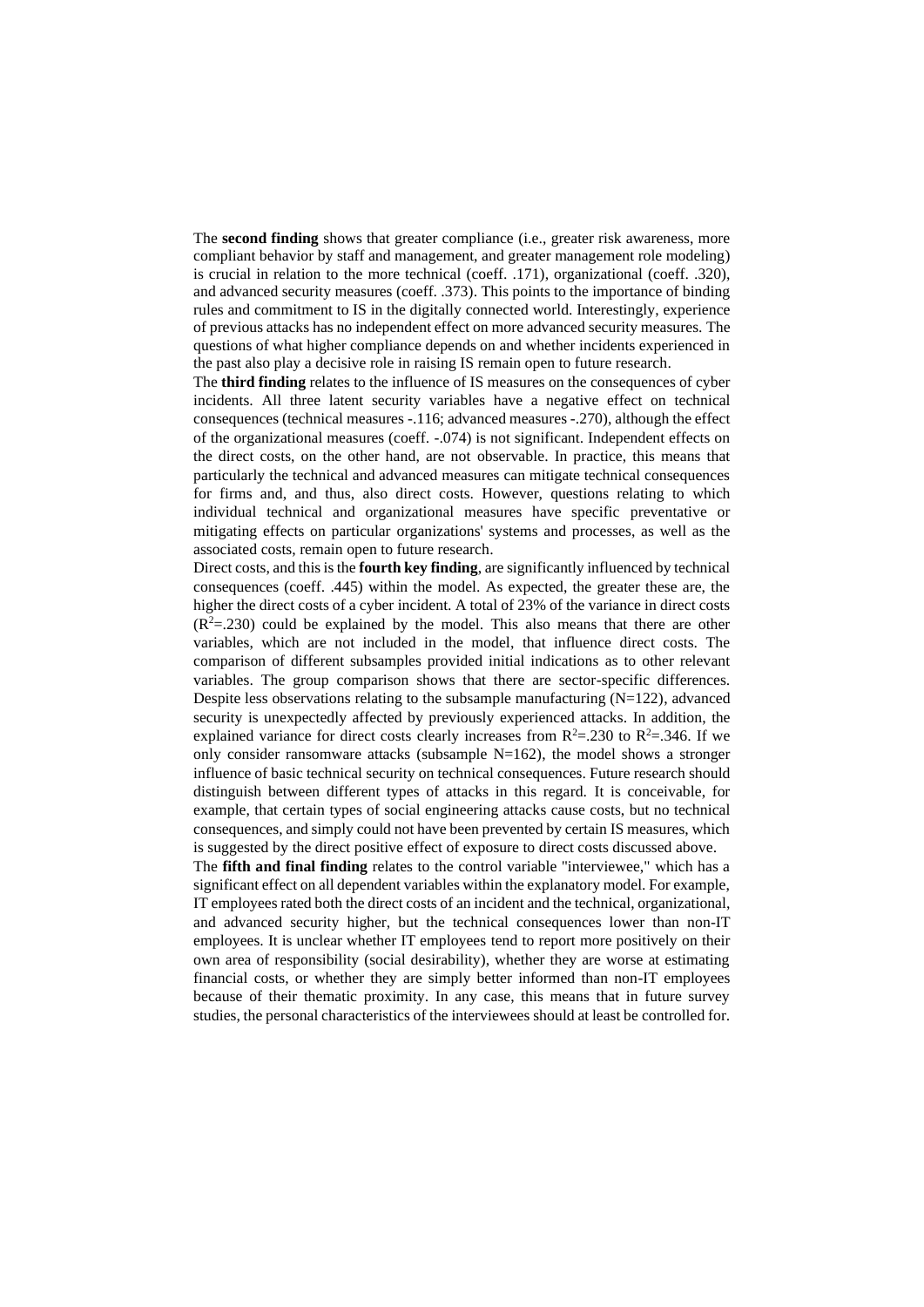The **second finding** shows that greater compliance (i.e., greater risk awareness, more compliant behavior by staff and management, and greater management role modeling) is crucial in relation to the more technical (coeff. .171), organizational (coeff. .320), and advanced security measures (coeff. .373). This points to the importance of binding rules and commitment to IS in the digitally connected world. Interestingly, experience of previous attacks has no independent effect on more advanced security measures. The questions of what higher compliance depends on and whether incidents experienced in the past also play a decisive role in raising IS remain open to future research.

The **third finding** relates to the influence of IS measures on the consequences of cyber incidents. All three latent security variables have a negative effect on technical consequences (technical measures -.116; advanced measures -.270), although the effect of the organizational measures (coeff. -.074) is not significant. Independent effects on the direct costs, on the other hand, are not observable. In practice, this means that particularly the technical and advanced measures can mitigate technical consequences for firms and, and thus, also direct costs. However, questions relating to which individual technical and organizational measures have specific preventative or mitigating effects on particular organizations' systems and processes, as well as the associated costs, remain open to future research.

Direct costs, and this is the **fourth key finding**, are significantly influenced by technical consequences (coeff. .445) within the model. As expected, the greater these are, the higher the direct costs of a cyber incident. A total of 23% of the variance in direct costs  $(R<sup>2</sup>=.230)$  could be explained by the model. This also means that there are other variables, which are not included in the model, that influence direct costs. The comparison of different subsamples provided initial indications as to other relevant variables. The group comparison shows that there are sector-specific differences. Despite less observations relating to the subsample manufacturing  $(N=122)$ , advanced security is unexpectedly affected by previously experienced attacks. In addition, the explained variance for direct costs clearly increases from  $R^2 = 0.230$  to  $R^2 = 0.346$ . If we only consider ransomware attacks (subsample  $N=162$ ), the model shows a stronger influence of basic technical security on technical consequences. Future research should distinguish between different types of attacks in this regard. It is conceivable, for example, that certain types of social engineering attacks cause costs, but no technical consequences, and simply could not have been prevented by certain IS measures, which is suggested by the direct positive effect of exposure to direct costs discussed above.

The **fifth and final finding** relates to the control variable "interviewee," which has a significant effect on all dependent variables within the explanatory model. For example, IT employees rated both the direct costs of an incident and the technical, organizational, and advanced security higher, but the technical consequences lower than non-IT employees. It is unclear whether IT employees tend to report more positively on their own area of responsibility (social desirability), whether they are worse at estimating financial costs, or whether they are simply better informed than non-IT employees because of their thematic proximity. In any case, this means that in future survey studies, the personal characteristics of the interviewees should at least be controlled for.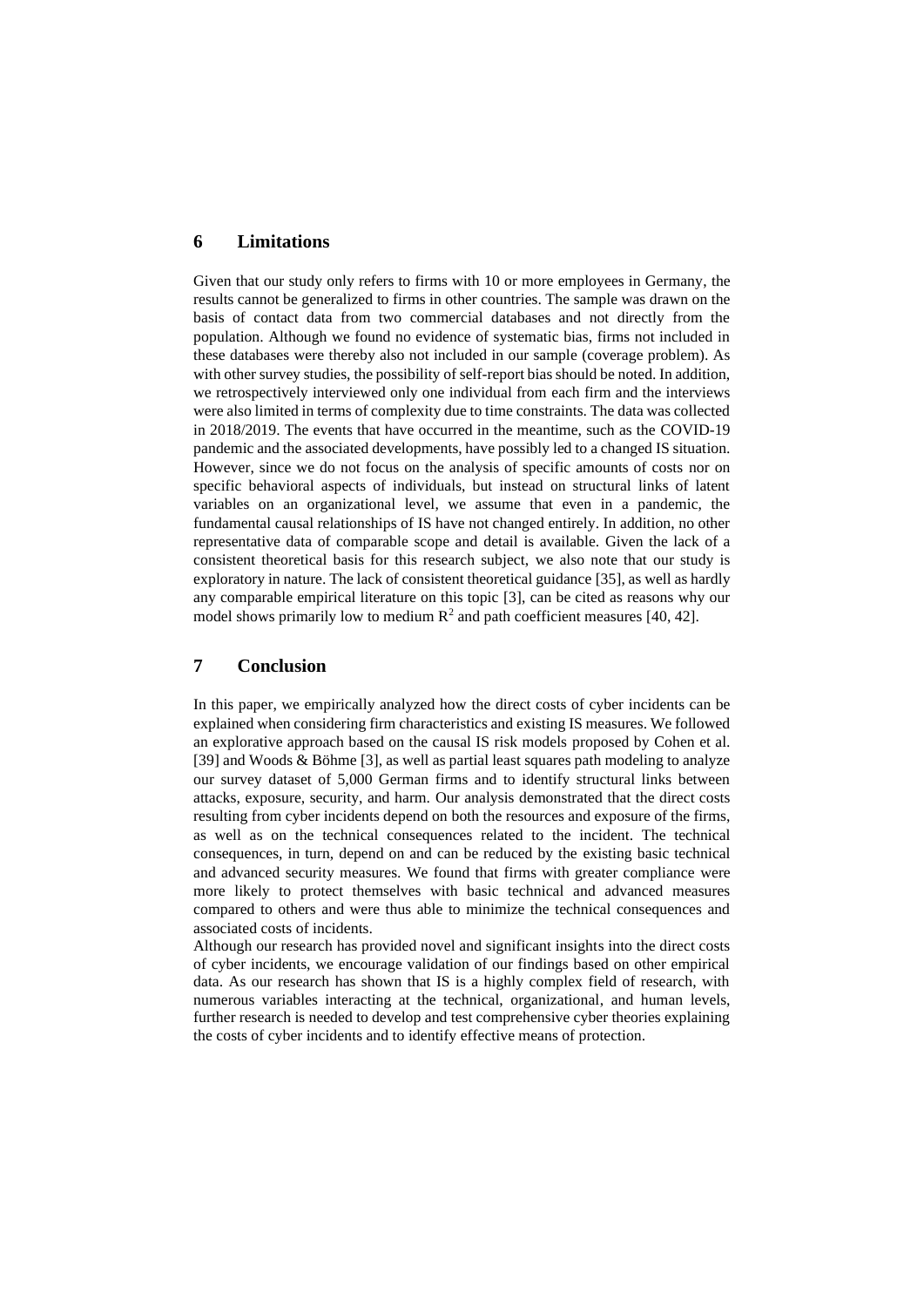#### **6 Limitations**

Given that our study only refers to firms with 10 or more employees in Germany, the results cannot be generalized to firms in other countries. The sample was drawn on the basis of contact data from two commercial databases and not directly from the population. Although we found no evidence of systematic bias, firms not included in these databases were thereby also not included in our sample (coverage problem). As with other survey studies, the possibility of self-report bias should be noted. In addition, we retrospectively interviewed only one individual from each firm and the interviews were also limited in terms of complexity due to time constraints. The data was collected in 2018/2019. The events that have occurred in the meantime, such as the COVID-19 pandemic and the associated developments, have possibly led to a changed IS situation. However, since we do not focus on the analysis of specific amounts of costs nor on specific behavioral aspects of individuals, but instead on structural links of latent variables on an organizational level, we assume that even in a pandemic, the fundamental causal relationships of IS have not changed entirely. In addition, no other representative data of comparable scope and detail is available. Given the lack of a consistent theoretical basis for this research subject, we also note that our study is exploratory in nature. The lack of consistent theoretical guidance [35], as well as hardly any comparable empirical literature on this topic [3], can be cited as reasons why our model shows primarily low to medium  $\mathbb{R}^2$  and path coefficient measures [40, 42].

#### **7 Conclusion**

In this paper, we empirically analyzed how the direct costs of cyber incidents can be explained when considering firm characteristics and existing IS measures. We followed an explorative approach based on the causal IS risk models proposed by Cohen et al. [39] and Woods & Böhme [3], as well as partial least squares path modeling to analyze our survey dataset of 5,000 German firms and to identify structural links between attacks, exposure, security, and harm. Our analysis demonstrated that the direct costs resulting from cyber incidents depend on both the resources and exposure of the firms, as well as on the technical consequences related to the incident. The technical consequences, in turn, depend on and can be reduced by the existing basic technical and advanced security measures. We found that firms with greater compliance were more likely to protect themselves with basic technical and advanced measures compared to others and were thus able to minimize the technical consequences and associated costs of incidents.

Although our research has provided novel and significant insights into the direct costs of cyber incidents, we encourage validation of our findings based on other empirical data. As our research has shown that IS is a highly complex field of research, with numerous variables interacting at the technical, organizational, and human levels, further research is needed to develop and test comprehensive cyber theories explaining the costs of cyber incidents and to identify effective means of protection.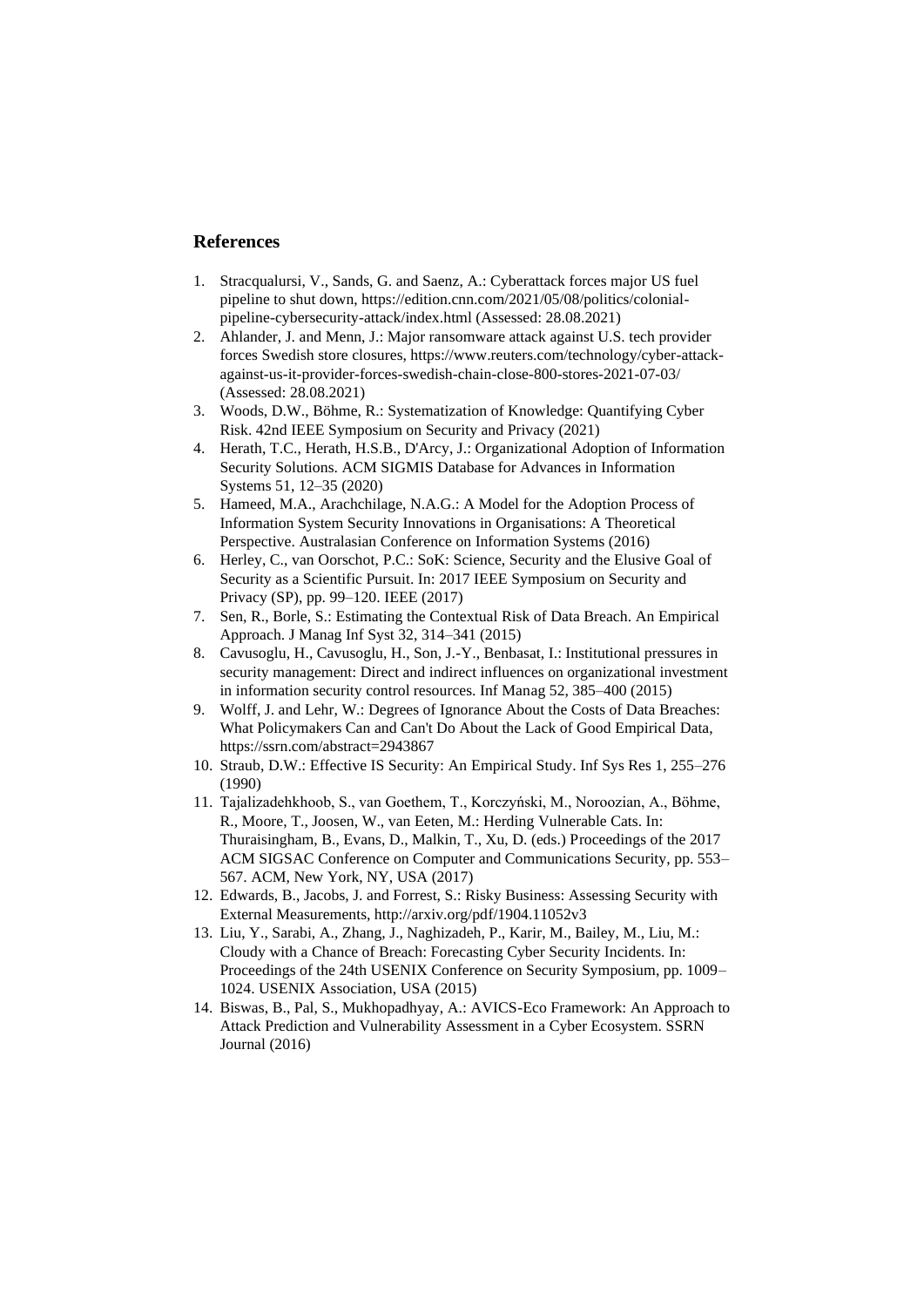### **References**

- 1. Stracqualursi, V., Sands, G. and Saenz, A.: Cyberattack forces major US fuel pipeline to shut down, https://edition.cnn.com/2021/05/08/politics/colonialpipeline-cybersecurity-attack/index.html (Assessed: 28.08.2021)
- 2. Ahlander, J. and Menn, J.: Major ransomware attack against U.S. tech provider forces Swedish store closures, https://www.reuters.com/technology/cyber-attackagainst-us-it-provider-forces-swedish-chain-close-800-stores-2021-07-03/ (Assessed: 28.08.2021)
- 3. Woods, D.W., Böhme, R.: Systematization of Knowledge: Quantifying Cyber Risk. 42nd IEEE Symposium on Security and Privacy (2021)
- 4. Herath, T.C., Herath, H.S.B., D'Arcy, J.: Organizational Adoption of Information Security Solutions. ACM SIGMIS Database for Advances in Information Systems 51, 12–35 (2020)
- 5. Hameed, M.A., Arachchilage, N.A.G.: A Model for the Adoption Process of Information System Security Innovations in Organisations: A Theoretical Perspective. Australasian Conference on Information Systems (2016)
- 6. Herley, C., van Oorschot, P.C.: SoK: Science, Security and the Elusive Goal of Security as a Scientific Pursuit. In: 2017 IEEE Symposium on Security and Privacy (SP), pp. 99–120. IEEE (2017)
- 7. Sen, R., Borle, S.: Estimating the Contextual Risk of Data Breach. An Empirical Approach. J Manag Inf Syst 32, 314–341 (2015)
- 8. Cavusoglu, H., Cavusoglu, H., Son, J.-Y., Benbasat, I.: Institutional pressures in security management: Direct and indirect influences on organizational investment in information security control resources. Inf Manag 52, 385–400 (2015)
- 9. Wolff, J. and Lehr, W.: Degrees of Ignorance About the Costs of Data Breaches: What Policymakers Can and Can't Do About the Lack of Good Empirical Data, https://ssrn.com/abstract=2943867
- 10. Straub, D.W.: Effective IS Security: An Empirical Study. Inf Sys Res 1, 255–276 (1990)
- 11. Tajalizadehkhoob, S., van Goethem, T., Korczyński, M., Noroozian, A., Böhme, R., Moore, T., Joosen, W., van Eeten, M.: Herding Vulnerable Cats. In: Thuraisingham, B., Evans, D., Malkin, T., Xu, D. (eds.) Proceedings of the 2017 ACM SIGSAC Conference on Computer and Communications Security, pp. 553– 567. ACM, New York, NY, USA (2017)
- 12. Edwards, B., Jacobs, J. and Forrest, S.: Risky Business: Assessing Security with External Measurements, http://arxiv.org/pdf/1904.11052v3
- 13. Liu, Y., Sarabi, A., Zhang, J., Naghizadeh, P., Karir, M., Bailey, M., Liu, M.: Cloudy with a Chance of Breach: Forecasting Cyber Security Incidents. In: Proceedings of the 24th USENIX Conference on Security Symposium, pp. 1009– 1024. USENIX Association, USA (2015)
- 14. Biswas, B., Pal, S., Mukhopadhyay, A.: AVICS-Eco Framework: An Approach to Attack Prediction and Vulnerability Assessment in a Cyber Ecosystem. SSRN Journal (2016)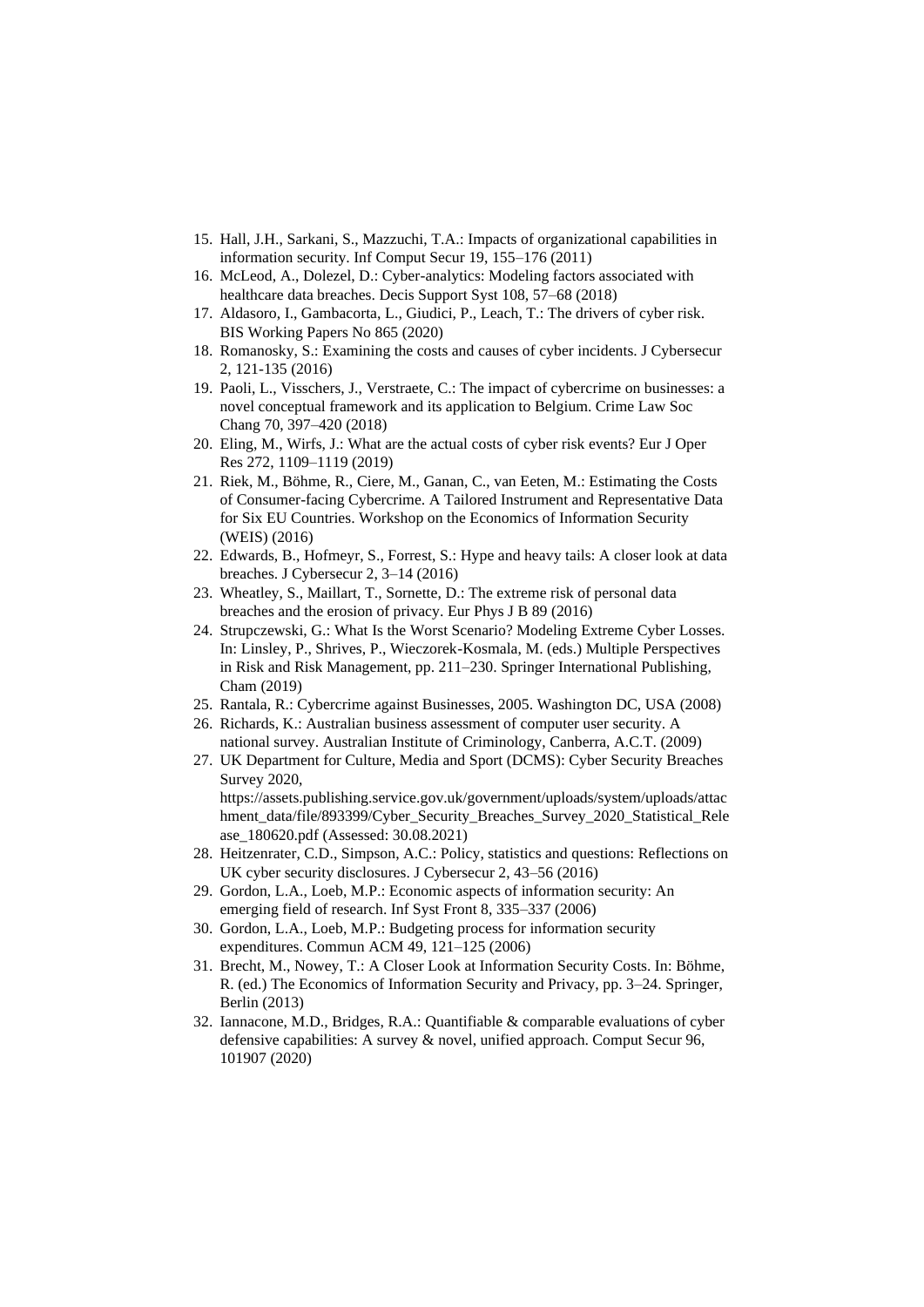- 15. Hall, J.H., Sarkani, S., Mazzuchi, T.A.: Impacts of organizational capabilities in information security. Inf Comput Secur 19, 155–176 (2011)
- 16. McLeod, A., Dolezel, D.: Cyber-analytics: Modeling factors associated with healthcare data breaches. Decis Support Syst 108, 57–68 (2018)
- 17. Aldasoro, I., Gambacorta, L., Giudici, P., Leach, T.: The drivers of cyber risk. BIS Working Papers No 865 (2020)
- 18. Romanosky, S.: Examining the costs and causes of cyber incidents. J Cybersecur 2, 121-135 (2016)
- 19. Paoli, L., Visschers, J., Verstraete, C.: The impact of cybercrime on businesses: a novel conceptual framework and its application to Belgium. Crime Law Soc Chang 70, 397–420 (2018)
- 20. Eling, M., Wirfs, J.: What are the actual costs of cyber risk events? Eur J Oper Res 272, 1109–1119 (2019)
- 21. Riek, M., Böhme, R., Ciere, M., Ganan, C., van Eeten, M.: Estimating the Costs of Consumer-facing Cybercrime. A Tailored Instrument and Representative Data for Six EU Countries. Workshop on the Economics of Information Security (WEIS) (2016)
- 22. Edwards, B., Hofmeyr, S., Forrest, S.: Hype and heavy tails: A closer look at data breaches. J Cybersecur 2, 3–14 (2016)
- 23. Wheatley, S., Maillart, T., Sornette, D.: The extreme risk of personal data breaches and the erosion of privacy. Eur Phys J B 89 (2016)
- 24. Strupczewski, G.: What Is the Worst Scenario? Modeling Extreme Cyber Losses. In: Linsley, P., Shrives, P., Wieczorek-Kosmala, M. (eds.) Multiple Perspectives in Risk and Risk Management, pp. 211–230. Springer International Publishing, Cham (2019)
- 25. Rantala, R.: Cybercrime against Businesses, 2005. Washington DC, USA (2008)
- 26. Richards, K.: Australian business assessment of computer user security. A national survey. Australian Institute of Criminology, Canberra, A.C.T. (2009)
- 27. UK Department for Culture, Media and Sport (DCMS): Cyber Security Breaches Survey 2020, https://assets.publishing.service.gov.uk/government/uploads/system/uploads/attac hment\_data/file/893399/Cyber\_Security\_Breaches\_Survey\_2020\_Statistical\_Rele
- ase\_180620.pdf (Assessed: 30.08.2021) 28. Heitzenrater, C.D., Simpson, A.C.: Policy, statistics and questions: Reflections on UK cyber security disclosures. J Cybersecur 2, 43–56 (2016)
- 29. Gordon, L.A., Loeb, M.P.: Economic aspects of information security: An emerging field of research. Inf Syst Front 8, 335–337 (2006)
- 30. Gordon, L.A., Loeb, M.P.: Budgeting process for information security expenditures. Commun ACM 49, 121–125 (2006)
- 31. Brecht, M., Nowey, T.: A Closer Look at Information Security Costs. In: Böhme, R. (ed.) The Economics of Information Security and Privacy, pp. 3–24. Springer, Berlin (2013)
- 32. Iannacone, M.D., Bridges, R.A.: Quantifiable & comparable evaluations of cyber defensive capabilities: A survey & novel, unified approach. Comput Secur 96, 101907 (2020)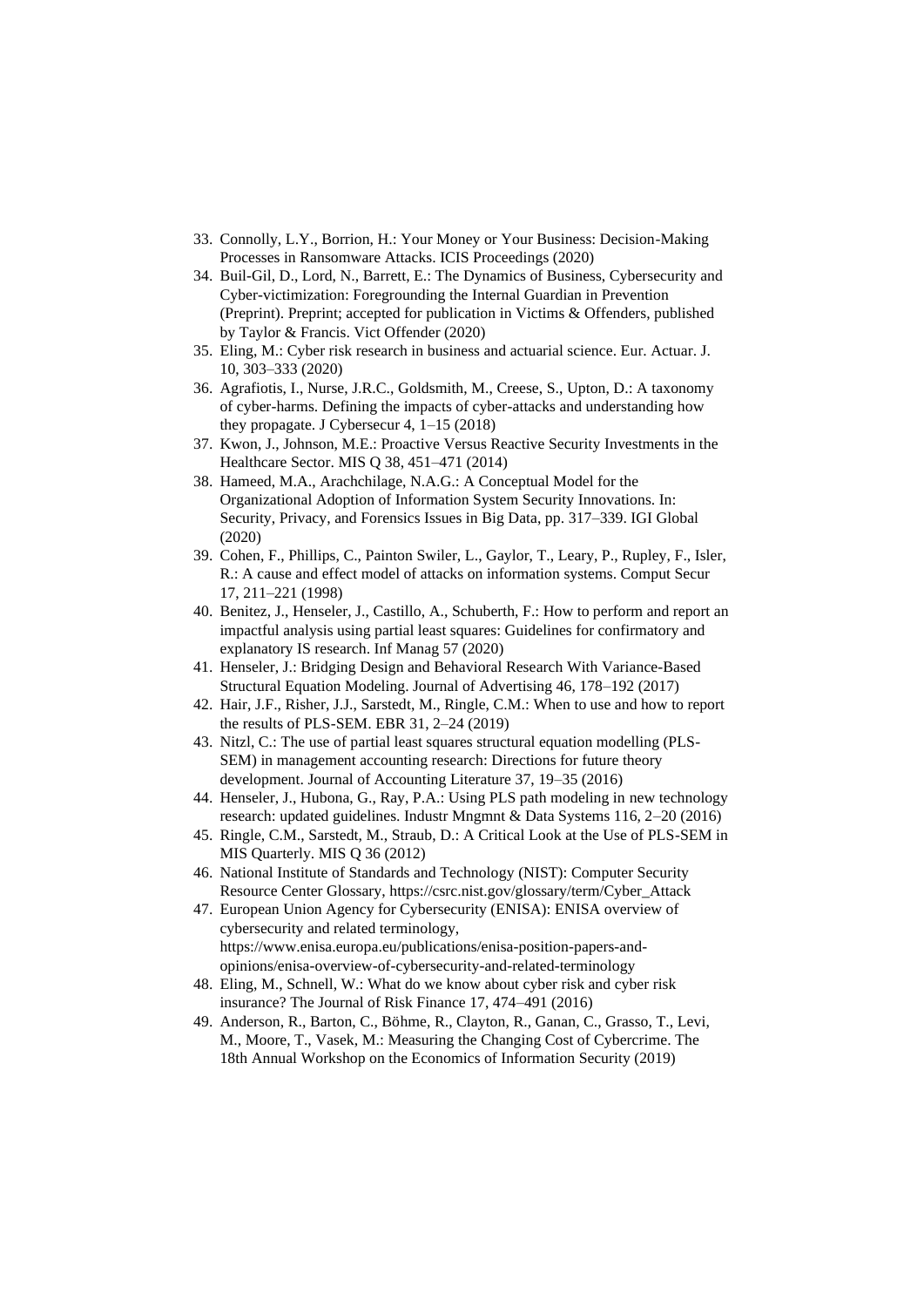- 33. Connolly, L.Y., Borrion, H.: Your Money or Your Business: Decision-Making Processes in Ransomware Attacks. ICIS Proceedings (2020)
- 34. Buil-Gil, D., Lord, N., Barrett, E.: The Dynamics of Business, Cybersecurity and Cyber-victimization: Foregrounding the Internal Guardian in Prevention (Preprint). Preprint; accepted for publication in Victims & Offenders, published by Taylor & Francis. Vict Offender (2020)
- 35. Eling, M.: Cyber risk research in business and actuarial science. Eur. Actuar. J. 10, 303–333 (2020)
- 36. Agrafiotis, I., Nurse, J.R.C., Goldsmith, M., Creese, S., Upton, D.: A taxonomy of cyber-harms. Defining the impacts of cyber-attacks and understanding how they propagate. J Cybersecur 4, 1–15 (2018)
- 37. Kwon, J., Johnson, M.E.: Proactive Versus Reactive Security Investments in the Healthcare Sector. MIS Q 38, 451–471 (2014)
- 38. Hameed, M.A., Arachchilage, N.A.G.: A Conceptual Model for the Organizational Adoption of Information System Security Innovations. In: Security, Privacy, and Forensics Issues in Big Data, pp. 317–339. IGI Global (2020)
- 39. Cohen, F., Phillips, C., Painton Swiler, L., Gaylor, T., Leary, P., Rupley, F., Isler, R.: A cause and effect model of attacks on information systems. Comput Secur 17, 211–221 (1998)
- 40. Benitez, J., Henseler, J., Castillo, A., Schuberth, F.: How to perform and report an impactful analysis using partial least squares: Guidelines for confirmatory and explanatory IS research. Inf Manag 57 (2020)
- 41. Henseler, J.: Bridging Design and Behavioral Research With Variance-Based Structural Equation Modeling. Journal of Advertising 46, 178–192 (2017)
- 42. Hair, J.F., Risher, J.J., Sarstedt, M., Ringle, C.M.: When to use and how to report the results of PLS-SEM. EBR 31, 2–24 (2019)
- 43. Nitzl, C.: The use of partial least squares structural equation modelling (PLS-SEM) in management accounting research: Directions for future theory development. Journal of Accounting Literature 37, 19–35 (2016)
- 44. Henseler, J., Hubona, G., Ray, P.A.: Using PLS path modeling in new technology research: updated guidelines. Industr Mngmnt & Data Systems 116, 2–20 (2016)
- 45. Ringle, C.M., Sarstedt, M., Straub, D.: A Critical Look at the Use of PLS-SEM in MIS Quarterly. MIS Q 36 (2012)
- 46. National Institute of Standards and Technology (NIST): Computer Security Resource Center Glossary, https://csrc.nist.gov/glossary/term/Cyber\_Attack
- 47. European Union Agency for Cybersecurity (ENISA): ENISA overview of cybersecurity and related terminology, https://www.enisa.europa.eu/publications/enisa-position-papers-andopinions/enisa-overview-of-cybersecurity-and-related-terminology
- 48. Eling, M., Schnell, W.: What do we know about cyber risk and cyber risk insurance? The Journal of Risk Finance 17, 474–491 (2016)
- 49. Anderson, R., Barton, C., Böhme, R., Clayton, R., Ganan, C., Grasso, T., Levi, M., Moore, T., Vasek, M.: Measuring the Changing Cost of Cybercrime. The 18th Annual Workshop on the Economics of Information Security (2019)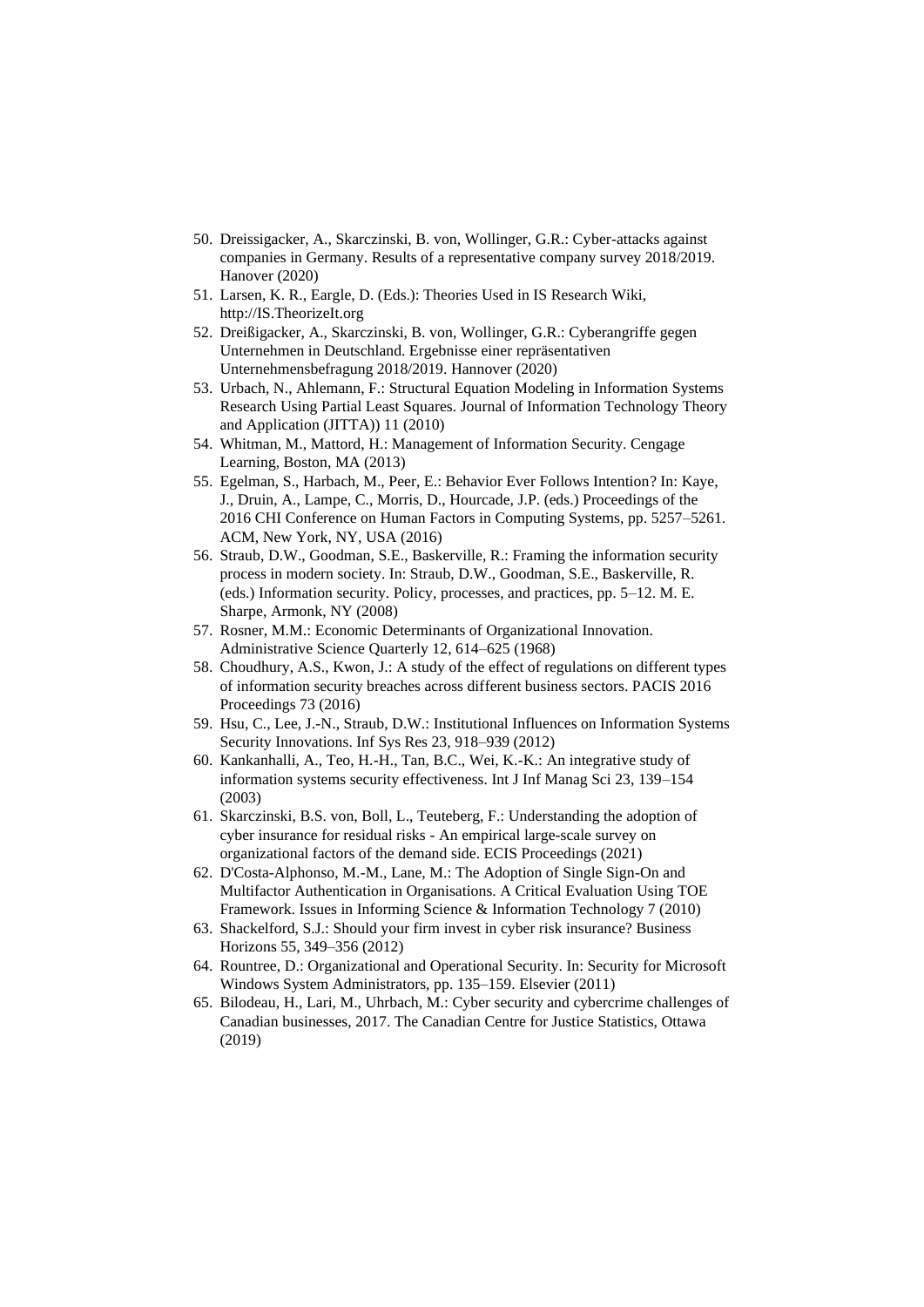- 50. Dreissigacker, A., Skarczinski, B. von, Wollinger, G.R.: Cyber-attacks against companies in Germany. Results of a representative company survey 2018/2019. Hanover (2020)
- 51. Larsen, K. R., Eargle, D. (Eds.): Theories Used in IS Research Wiki, http://IS.TheorizeIt.org
- 52. Dreißigacker, A., Skarczinski, B. von, Wollinger, G.R.: Cyberangriffe gegen Unternehmen in Deutschland. Ergebnisse einer repräsentativen Unternehmensbefragung 2018/2019. Hannover (2020)
- 53. Urbach, N., Ahlemann, F.: Structural Equation Modeling in Information Systems Research Using Partial Least Squares. Journal of Information Technology Theory and Application (JITTA)) 11 (2010)
- 54. Whitman, M., Mattord, H.: Management of Information Security. Cengage Learning, Boston, MA (2013)
- 55. Egelman, S., Harbach, M., Peer, E.: Behavior Ever Follows Intention? In: Kaye, J., Druin, A., Lampe, C., Morris, D., Hourcade, J.P. (eds.) Proceedings of the 2016 CHI Conference on Human Factors in Computing Systems, pp. 5257–5261. ACM, New York, NY, USA (2016)
- 56. Straub, D.W., Goodman, S.E., Baskerville, R.: Framing the information security process in modern society. In: Straub, D.W., Goodman, S.E., Baskerville, R. (eds.) Information security. Policy, processes, and practices, pp. 5–12. M. E. Sharpe, Armonk, NY (2008)
- 57. Rosner, M.M.: Economic Determinants of Organizational Innovation. Administrative Science Quarterly 12, 614–625 (1968)
- 58. Choudhury, A.S., Kwon, J.: A study of the effect of regulations on different types of information security breaches across different business sectors. PACIS 2016 Proceedings 73 (2016)
- 59. Hsu, C., Lee, J.-N., Straub, D.W.: Institutional Influences on Information Systems Security Innovations. Inf Sys Res 23, 918–939 (2012)
- 60. Kankanhalli, A., Teo, H.-H., Tan, B.C., Wei, K.-K.: An integrative study of information systems security effectiveness. Int J Inf Manag Sci 23, 139–154 (2003)
- 61. Skarczinski, B.S. von, Boll, L., Teuteberg, F.: Understanding the adoption of cyber insurance for residual risks - An empirical large-scale survey on organizational factors of the demand side. ECIS Proceedings (2021)
- 62. D'Costa-Alphonso, M.-M., Lane, M.: The Adoption of Single Sign-On and Multifactor Authentication in Organisations. A Critical Evaluation Using TOE Framework. Issues in Informing Science & Information Technology 7 (2010)
- 63. Shackelford, S.J.: Should your firm invest in cyber risk insurance? Business Horizons 55, 349–356 (2012)
- 64. Rountree, D.: Organizational and Operational Security. In: Security for Microsoft Windows System Administrators, pp. 135–159. Elsevier (2011)
- 65. Bilodeau, H., Lari, M., Uhrbach, M.: Cyber security and cybercrime challenges of Canadian businesses, 2017. The Canadian Centre for Justice Statistics, Ottawa (2019)